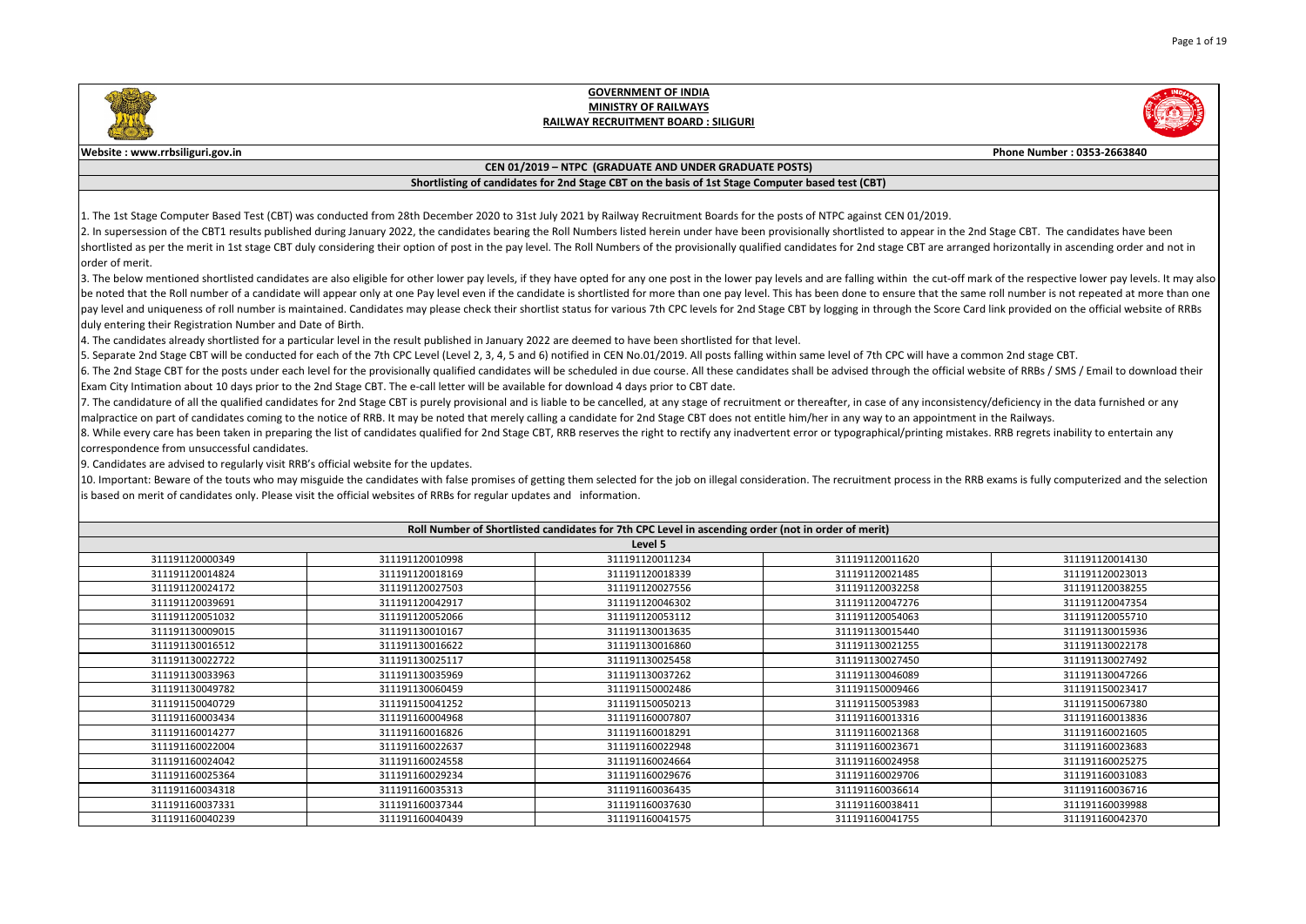|                                      | Phone Number: 0353-2663840                                                                                                                                                                                  |
|--------------------------------------|-------------------------------------------------------------------------------------------------------------------------------------------------------------------------------------------------------------|
|                                      |                                                                                                                                                                                                             |
|                                      |                                                                                                                                                                                                             |
|                                      |                                                                                                                                                                                                             |
| EN 01/2019.                          | p appear in the 2nd Stage CBT. The candidates have been<br>ge CBT are arranged horizontally in ascending order and not in                                                                                   |
|                                      | hin the cut-off mark of the respective lower pay levels. It may also<br>sure that the same roll number is not repeated at more than one<br>ugh the Score Card link provided on the official website of RRBs |
| PC will have a common 2nd stage CBT. | ugh the official website of RRBs / SMS / Email to download their                                                                                                                                            |
| an appointment in the Railways.      | of any inconsistency/deficiency in the data furnished or any<br>al/printing mistakes. RRB regrets inability to entertain any                                                                                |
|                                      | process in the RRB exams is fully computerized and the selection                                                                                                                                            |
|                                      |                                                                                                                                                                                                             |
|                                      |                                                                                                                                                                                                             |
| 11620                                | 311191120014130                                                                                                                                                                                             |
| 21485                                | 311191120023013                                                                                                                                                                                             |
| 32258                                | 311191120038255                                                                                                                                                                                             |
| 17276                                | 311191120047354                                                                                                                                                                                             |
| 54063                                | 311191120055710                                                                                                                                                                                             |
| 15440                                | 311191130015936                                                                                                                                                                                             |
| 21255                                | 311191130022178                                                                                                                                                                                             |
| 27450                                | 311191130027492                                                                                                                                                                                             |
| 16089                                | 311191130047266                                                                                                                                                                                             |
| )9466                                | 311191150023417                                                                                                                                                                                             |
| 53983                                | 311191150067380                                                                                                                                                                                             |
| L3316                                | 311191160013836                                                                                                                                                                                             |
| 21368                                | 311191160021605                                                                                                                                                                                             |
| 23671                                | 311191160023683                                                                                                                                                                                             |
| 24958                                | 311191160025275                                                                                                                                                                                             |
| 29706                                | 311191160031083                                                                                                                                                                                             |
| 36614                                | 311191160036716                                                                                                                                                                                             |
| 38411                                | 311191160039988                                                                                                                                                                                             |
| 11755                                | 311191160042370                                                                                                                                                                                             |

3. The below mentioned shortlisted candidates are also eligible for other lower pay levels, if they have opted for any one post in the lower pay levels and are falling with be noted that the Roll number of a candidate will appear only at one Pay level even if the candidate is shortlisted for more than one pay level. This has been done to ens pay level and uniqueness of roll number is maintained. Candidates may please check their shortlist status for various 7th CPC levels for 2nd Stage CBT by logging in throu duly entering their Registration Number and Date of Birth.

4. The candidates already shortlisted for a particular level in the result published in January 2022 are deemed to have been shortlisted for that level.

5. Separate 2nd Stage CBT will be conducted for each of the 7th CPC Level (Level 2, 3, 4, 5 and 6) notified in CEN No.01/2019. All posts falling within same level of 7th CP 6. The 2nd Stage CBT for the posts under each level for the provisionally qualified candidates will be scheduled in due course. All these candidates shall be advised throu Exam City Intimation about 10 days prior to the 2nd Stage CBT. The e-call letter will be available for download 4 days prior to CBT date.

7. The candidature of all the qualified candidates for 2nd Stage CBT is purely provisional and is liable to be cancelled, at any stage of recruitment or thereafter, in case of  $\vert$ malpractice on part of candidates coming to the notice of RRB. It may be noted that merely calling a candidate for 2nd Stage CBT does not entitle him/her in any way to 8. While every care has been taken in preparing the list of candidates qualified for 2nd Stage CBT, RRB reserves the right to rectify any inadvertent error or typographica correspondence from unsuccessful candidates.

10. Important: Beware of the touts who may misguide the candidates with false promises of getting them selected for the job on illegal consideration. The recruitment is based on merit of candidates only. Please visit the official websites of RRBs for regular updates and information.

|                 | Roll Number of Shortlisted candidates for 7th CPC Level in ascending order (not in order of merit) |                 |                 |                 |
|-----------------|----------------------------------------------------------------------------------------------------|-----------------|-----------------|-----------------|
|                 |                                                                                                    | Level 5         |                 |                 |
| 311191120000349 | 311191120010998                                                                                    | 311191120011234 | 311191120011620 | 311191120014130 |
| 311191120014824 | 311191120018169                                                                                    | 311191120018339 | 311191120021485 | 311191120023013 |
| 311191120024172 | 311191120027503                                                                                    | 311191120027556 | 311191120032258 | 311191120038255 |
| 311191120039691 | 311191120042917                                                                                    | 311191120046302 | 311191120047276 | 311191120047354 |
| 311191120051032 | 311191120052066                                                                                    | 311191120053112 | 311191120054063 | 311191120055710 |
| 311191130009015 | 311191130010167                                                                                    | 311191130013635 | 311191130015440 | 311191130015936 |
| 311191130016512 | 311191130016622                                                                                    | 311191130016860 | 311191130021255 | 311191130022178 |
| 311191130022722 | 311191130025117                                                                                    | 311191130025458 | 311191130027450 | 311191130027492 |
| 311191130033963 | 311191130035969                                                                                    | 311191130037262 | 311191130046089 | 311191130047266 |
| 311191130049782 | 311191130060459                                                                                    | 311191150002486 | 311191150009466 | 311191150023417 |
| 311191150040729 | 311191150041252                                                                                    | 311191150050213 | 311191150053983 | 311191150067380 |
| 311191160003434 | 311191160004968                                                                                    | 311191160007807 | 311191160013316 | 311191160013836 |
| 311191160014277 | 311191160016826                                                                                    | 311191160018291 | 311191160021368 | 311191160021605 |
| 311191160022004 | 311191160022637                                                                                    | 311191160022948 | 311191160023671 | 311191160023683 |
| 311191160024042 | 311191160024558                                                                                    | 311191160024664 | 311191160024958 | 311191160025275 |
| 311191160025364 | 311191160029234                                                                                    | 311191160029676 | 311191160029706 | 311191160031083 |
| 311191160034318 | 311191160035313                                                                                    | 311191160036435 | 311191160036614 | 311191160036716 |
| 311191160037331 | 311191160037344                                                                                    | 311191160037630 | 311191160038411 | 311191160039988 |
| 311191160040239 | 311191160040439                                                                                    | 311191160041575 | 311191160041755 | 311191160042370 |

9. Candidates are advised to regularly visit RRB's official website for the updates.



#### **GOVERNMENT OF INDIA MINISTRY OF RAILWAYS RAILWAY RECRUITMENT BOARD : SILIGURI**

#### **Website : www.rrbsiliguri.gov.in**

#### **CEN 01/2019 – NTPC (GRADUATE AND UNDER GRADUATE POSTS)**

#### **Shortlisting of candidates for 2nd Stage CBT on the basis of 1st Stage Computer based test (CBT)**

1. The 1st Stage Computer Based Test (CBT) was conducted from 28th December 2020 to 31st July 2021 by Railway Recruitment Boards for the posts of NTPC against CE 2. In supersession of the CBT1 results published during January 2022, the candidates bearing the Roll Numbers listed herein under have been provisionally shortlisted to shortlisted as per the merit in 1st stage CBT duly considering their option of post in the pay level. The Roll Numbers of the provisionally qualified candidates for 2nd stag lorder of merit.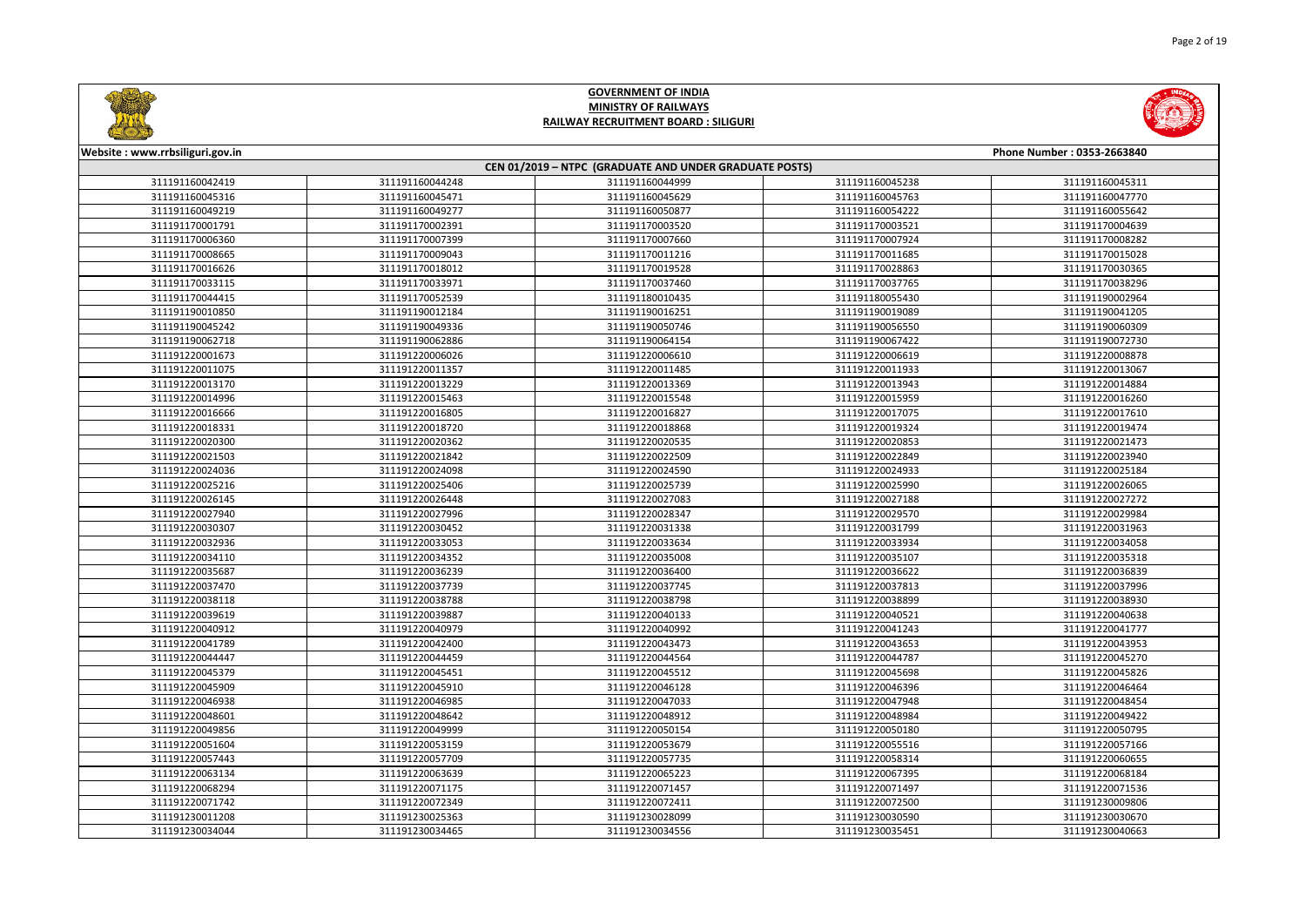



| Website: www.rrbsiliguri.gov.in |                 |                                                        |                 | Phone Number: 0353-2663840 |
|---------------------------------|-----------------|--------------------------------------------------------|-----------------|----------------------------|
|                                 |                 | CEN 01/2019 - NTPC (GRADUATE AND UNDER GRADUATE POSTS) |                 |                            |
| 311191160042419                 | 311191160044248 | 311191160044999                                        | 311191160045238 | 311191160045311            |
| 311191160045316                 | 311191160045471 | 311191160045629                                        | 311191160045763 | 311191160047770            |
| 311191160049219                 | 311191160049277 | 311191160050877                                        | 311191160054222 | 311191160055642            |
| 311191170001791                 | 311191170002391 | 311191170003520                                        | 311191170003521 | 311191170004639            |
| 311191170006360                 | 311191170007399 | 311191170007660                                        | 311191170007924 | 311191170008282            |
| 311191170008665                 | 311191170009043 | 311191170011216                                        | 311191170011685 | 311191170015028            |
| 311191170016626                 | 311191170018012 | 311191170019528                                        | 311191170028863 | 311191170030365            |
| 311191170033115                 | 311191170033971 | 311191170037460                                        | 311191170037765 | 311191170038296            |
| 311191170044415                 | 311191170052539 | 311191180010435                                        | 311191180055430 | 311191190002964            |
| 311191190010850                 | 311191190012184 | 311191190016251                                        | 311191190019089 | 311191190041205            |
| 311191190045242                 | 311191190049336 | 311191190050746                                        | 311191190056550 | 311191190060309            |
| 311191190062718                 | 311191190062886 | 311191190064154                                        | 311191190067422 | 311191190072730            |
| 311191220001673                 | 311191220006026 | 311191220006610                                        | 311191220006619 | 311191220008878            |
| 311191220011075                 | 311191220011357 | 311191220011485                                        | 311191220011933 | 311191220013067            |
| 311191220013170                 | 311191220013229 | 311191220013369                                        | 311191220013943 | 311191220014884            |
| 311191220014996                 | 311191220015463 | 311191220015548                                        | 311191220015959 | 311191220016260            |
| 311191220016666                 | 311191220016805 | 311191220016827                                        | 311191220017075 | 311191220017610            |
| 311191220018331                 | 311191220018720 | 311191220018868                                        | 311191220019324 | 311191220019474            |
| 311191220020300                 | 311191220020362 | 311191220020535                                        | 311191220020853 | 311191220021473            |
| 311191220021503                 | 311191220021842 | 311191220022509                                        | 311191220022849 | 311191220023940            |
| 311191220024036                 | 311191220024098 | 311191220024590                                        | 311191220024933 | 311191220025184            |
| 311191220025216                 | 311191220025406 | 311191220025739                                        | 311191220025990 | 311191220026065            |
| 311191220026145                 | 311191220026448 | 311191220027083                                        | 311191220027188 | 311191220027272            |
| 311191220027940                 | 311191220027996 | 311191220028347                                        | 311191220029570 | 311191220029984            |
| 311191220030307                 | 311191220030452 | 311191220031338                                        | 311191220031799 | 311191220031963            |
| 311191220032936                 | 311191220033053 | 311191220033634                                        | 311191220033934 | 311191220034058            |
| 311191220034110                 | 311191220034352 | 311191220035008                                        | 311191220035107 | 311191220035318            |
| 311191220035687                 | 311191220036239 | 311191220036400                                        | 311191220036622 | 311191220036839            |
| 311191220037470                 | 311191220037739 | 311191220037745                                        | 311191220037813 | 311191220037996            |
| 311191220038118                 | 311191220038788 | 311191220038798                                        | 311191220038899 | 311191220038930            |
| 311191220039619                 | 311191220039887 | 311191220040133                                        | 311191220040521 | 311191220040638            |
| 311191220040912                 | 311191220040979 | 311191220040992                                        | 311191220041243 | 311191220041777            |
| 311191220041789                 | 311191220042400 | 311191220043473                                        | 311191220043653 | 311191220043953            |
| 311191220044447                 | 311191220044459 | 311191220044564                                        | 311191220044787 | 311191220045270            |
| 311191220045379                 | 311191220045451 | 311191220045512                                        | 311191220045698 | 311191220045826            |
| 311191220045909                 | 311191220045910 | 311191220046128                                        | 311191220046396 | 311191220046464            |
| 311191220046938                 | 311191220046985 | 311191220047033                                        | 311191220047948 | 311191220048454            |
| 311191220048601                 | 311191220048642 | 311191220048912                                        | 311191220048984 | 311191220049422            |
| 311191220049856                 | 311191220049999 | 311191220050154                                        | 311191220050180 | 311191220050795            |
| 311191220051604                 | 311191220053159 | 311191220053679                                        | 311191220055516 | 311191220057166            |
| 311191220057443                 | 311191220057709 | 311191220057735                                        | 311191220058314 | 311191220060655            |
| 311191220063134                 | 311191220063639 | 311191220065223                                        | 311191220067395 | 311191220068184            |
| 311191220068294                 | 311191220071175 | 311191220071457                                        | 311191220071497 | 311191220071536            |
| 311191220071742                 | 311191220072349 | 311191220072411                                        | 311191220072500 | 311191230009806            |
| 311191230011208                 | 311191230025363 | 311191230028099                                        | 311191230030590 | 311191230030670            |
| 311191230034044                 | 311191230034465 | 311191230034556                                        | 311191230035451 | 311191230040663            |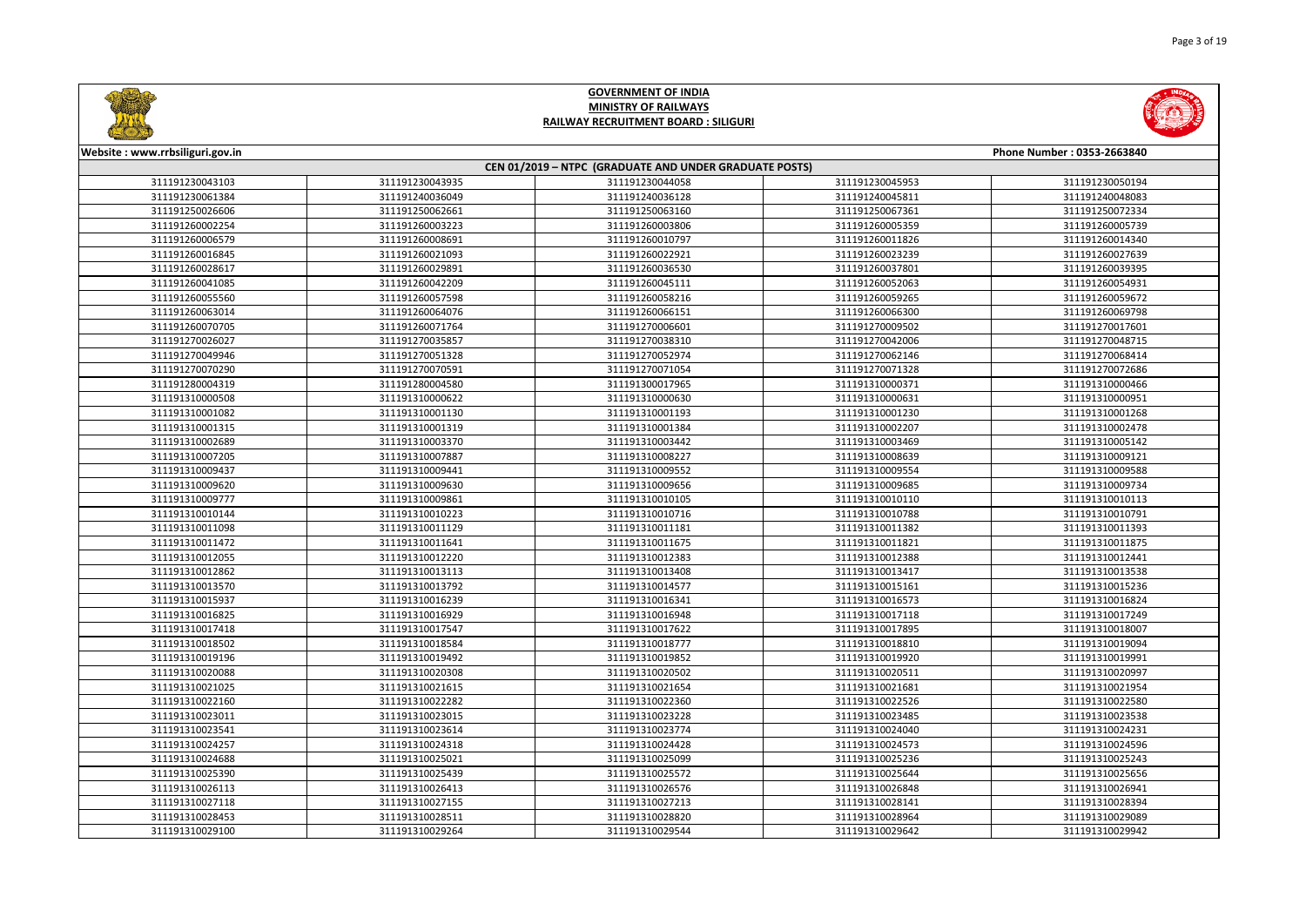



| <b>Circumstants</b>             |                 |                                                        |                 |                            |
|---------------------------------|-----------------|--------------------------------------------------------|-----------------|----------------------------|
| Website: www.rrbsiliguri.gov.in |                 |                                                        |                 | Phone Number: 0353-2663840 |
|                                 |                 | CEN 01/2019 - NTPC (GRADUATE AND UNDER GRADUATE POSTS) |                 |                            |
| 311191230043103                 | 311191230043935 | 311191230044058                                        | 311191230045953 | 311191230050194            |
| 311191230061384                 | 311191240036049 | 311191240036128                                        | 311191240045811 | 311191240048083            |
| 311191250026606                 | 311191250062661 | 311191250063160                                        | 311191250067361 | 311191250072334            |
| 311191260002254                 | 311191260003223 | 311191260003806                                        | 311191260005359 | 311191260005739            |
| 311191260006579                 | 311191260008691 | 311191260010797                                        | 311191260011826 | 311191260014340            |
| 311191260016845                 | 311191260021093 | 311191260022921                                        | 311191260023239 | 311191260027639            |
| 311191260028617                 | 311191260029891 | 311191260036530                                        | 311191260037801 | 311191260039395            |
| 311191260041085                 | 311191260042209 | 311191260045111                                        | 311191260052063 | 311191260054931            |
| 311191260055560                 | 311191260057598 | 311191260058216                                        | 311191260059265 | 311191260059672            |
| 311191260063014                 | 311191260064076 | 311191260066151                                        | 311191260066300 | 311191260069798            |
| 311191260070705                 | 311191260071764 | 311191270006601                                        | 311191270009502 | 311191270017601            |
| 311191270026027                 | 311191270035857 | 311191270038310                                        | 311191270042006 | 311191270048715            |
| 311191270049946                 | 311191270051328 | 311191270052974                                        | 311191270062146 | 311191270068414            |
| 311191270070290                 | 311191270070591 | 311191270071054                                        | 311191270071328 | 311191270072686            |
| 311191280004319                 | 311191280004580 | 311191300017965                                        | 311191310000371 | 311191310000466            |
| 311191310000508                 | 311191310000622 | 311191310000630                                        | 311191310000631 | 311191310000951            |
| 311191310001082                 | 311191310001130 | 311191310001193                                        | 311191310001230 | 311191310001268            |
| 311191310001315                 | 311191310001319 | 311191310001384                                        | 311191310002207 | 311191310002478            |
| 311191310002689                 | 311191310003370 | 311191310003442                                        | 311191310003469 | 311191310005142            |
| 311191310007205                 | 311191310007887 | 311191310008227                                        | 311191310008639 | 311191310009121            |
| 311191310009437                 | 311191310009441 | 311191310009552                                        | 311191310009554 | 311191310009588            |
| 311191310009620                 | 311191310009630 | 311191310009656                                        | 311191310009685 | 311191310009734            |
| 311191310009777                 | 311191310009861 | 311191310010105                                        | 311191310010110 | 311191310010113            |
| 311191310010144                 | 311191310010223 | 311191310010716                                        | 311191310010788 | 311191310010791            |
| 311191310011098                 | 311191310011129 | 311191310011181                                        | 311191310011382 | 311191310011393            |
| 311191310011472                 | 311191310011641 | 311191310011675                                        | 311191310011821 | 311191310011875            |
| 311191310012055                 | 311191310012220 | 311191310012383                                        | 311191310012388 | 311191310012441            |
| 311191310012862                 | 311191310013113 | 311191310013408                                        | 311191310013417 | 311191310013538            |
| 311191310013570                 | 311191310013792 | 311191310014577                                        | 311191310015161 | 311191310015236            |
| 311191310015937                 | 311191310016239 | 311191310016341                                        | 311191310016573 | 311191310016824            |
| 311191310016825                 | 311191310016929 | 311191310016948                                        | 311191310017118 | 311191310017249            |
| 311191310017418                 | 311191310017547 | 311191310017622                                        | 311191310017895 | 311191310018007            |
| 311191310018502                 | 311191310018584 | 311191310018777                                        | 311191310018810 | 311191310019094            |
| 311191310019196                 | 311191310019492 | 311191310019852                                        | 311191310019920 | 311191310019991            |
| 311191310020088                 | 311191310020308 | 311191310020502                                        | 311191310020511 | 311191310020997            |
| 311191310021025                 | 311191310021615 | 311191310021654                                        | 311191310021681 | 311191310021954            |
| 311191310022160                 | 311191310022282 | 311191310022360                                        | 311191310022526 | 311191310022580            |
| 311191310023011                 | 311191310023015 | 311191310023228                                        | 311191310023485 | 311191310023538            |
| 311191310023541                 | 311191310023614 | 311191310023774                                        | 311191310024040 | 311191310024231            |
| 311191310024257                 | 311191310024318 | 311191310024428                                        | 311191310024573 | 311191310024596            |
| 311191310024688                 | 311191310025021 | 311191310025099                                        | 311191310025236 | 311191310025243            |
| 311191310025390                 | 311191310025439 | 311191310025572                                        | 311191310025644 | 311191310025656            |
| 311191310026113                 | 311191310026413 | 311191310026576                                        | 311191310026848 | 311191310026941            |
| 311191310027118                 | 311191310027155 | 311191310027213                                        | 311191310028141 | 311191310028394            |
| 311191310028453                 | 311191310028511 | 311191310028820                                        | 311191310028964 | 311191310029089            |
| 311191310029100                 | 311191310029264 | 311191310029544                                        | 311191310029642 | 311191310029942            |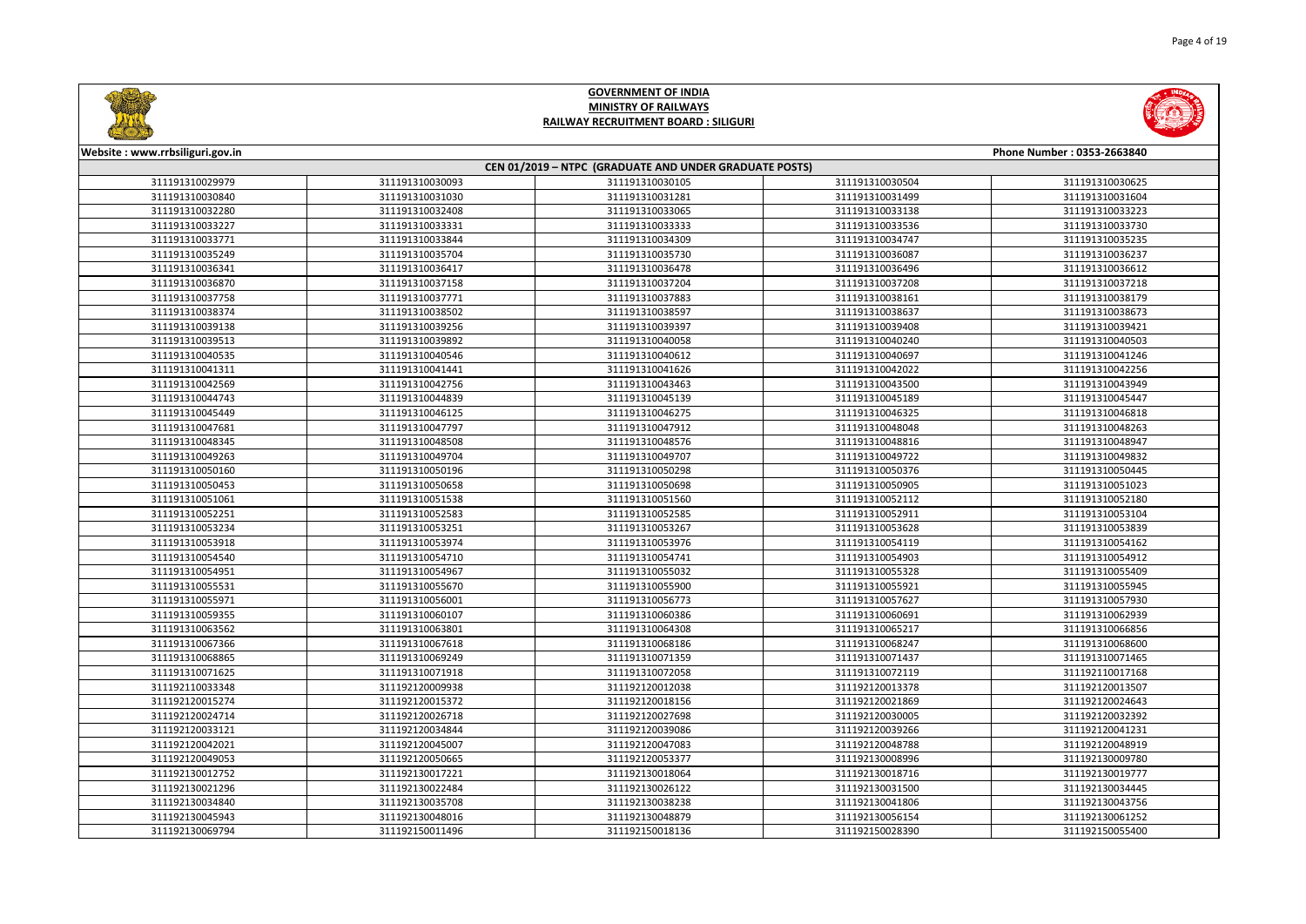



| Website: www.rrbsiliguri.gov.in |                 |                                                        |                 | Phone Number: 0353-2663840 |
|---------------------------------|-----------------|--------------------------------------------------------|-----------------|----------------------------|
|                                 |                 | CEN 01/2019 - NTPC (GRADUATE AND UNDER GRADUATE POSTS) |                 |                            |
| 311191310029979                 | 311191310030093 | 311191310030105                                        | 311191310030504 | 311191310030625            |
| 311191310030840                 | 311191310031030 | 311191310031281                                        | 311191310031499 | 311191310031604            |
| 311191310032280                 | 311191310032408 | 311191310033065                                        | 311191310033138 | 311191310033223            |
| 311191310033227                 | 311191310033331 | 311191310033333                                        | 311191310033536 | 311191310033730            |
| 311191310033771                 | 311191310033844 | 311191310034309                                        | 311191310034747 | 311191310035235            |
| 311191310035249                 | 311191310035704 | 311191310035730                                        | 311191310036087 | 311191310036237            |
| 311191310036341                 | 311191310036417 | 311191310036478                                        | 311191310036496 | 311191310036612            |
| 311191310036870                 | 311191310037158 | 311191310037204                                        | 311191310037208 | 311191310037218            |
| 311191310037758                 | 311191310037771 | 311191310037883                                        | 311191310038161 | 311191310038179            |
| 311191310038374                 | 311191310038502 | 311191310038597                                        | 311191310038637 | 311191310038673            |
| 311191310039138                 | 311191310039256 | 311191310039397                                        | 311191310039408 | 311191310039421            |
| 311191310039513                 | 311191310039892 | 311191310040058                                        | 311191310040240 | 311191310040503            |
| 311191310040535                 | 311191310040546 | 311191310040612                                        | 311191310040697 | 311191310041246            |
| 311191310041311                 | 311191310041441 | 311191310041626                                        | 311191310042022 | 311191310042256            |
| 311191310042569                 | 311191310042756 | 311191310043463                                        | 311191310043500 | 311191310043949            |
| 311191310044743                 | 311191310044839 | 311191310045139                                        | 311191310045189 | 311191310045447            |
| 311191310045449                 | 311191310046125 | 311191310046275                                        | 311191310046325 | 311191310046818            |
| 311191310047681                 | 311191310047797 | 311191310047912                                        | 311191310048048 | 311191310048263            |
| 311191310048345                 | 311191310048508 | 311191310048576                                        | 311191310048816 | 311191310048947            |
| 311191310049263                 | 311191310049704 | 311191310049707                                        | 311191310049722 | 311191310049832            |
| 311191310050160                 | 311191310050196 | 311191310050298                                        | 311191310050376 | 311191310050445            |
| 311191310050453                 | 311191310050658 | 311191310050698                                        | 311191310050905 | 311191310051023            |
| 311191310051061                 | 311191310051538 | 311191310051560                                        | 311191310052112 | 311191310052180            |
| 311191310052251                 | 311191310052583 | 311191310052585                                        | 311191310052911 | 311191310053104            |
| 311191310053234                 | 311191310053251 | 311191310053267                                        | 311191310053628 | 311191310053839            |
| 311191310053918                 | 311191310053974 | 311191310053976                                        | 311191310054119 | 311191310054162            |
| 311191310054540                 | 311191310054710 | 311191310054741                                        | 311191310054903 | 311191310054912            |
| 311191310054951                 | 311191310054967 | 311191310055032                                        | 311191310055328 | 311191310055409            |
| 311191310055531                 | 311191310055670 | 311191310055900                                        | 311191310055921 | 311191310055945            |
| 311191310055971                 | 311191310056001 | 311191310056773                                        | 311191310057627 | 311191310057930            |
| 311191310059355                 | 311191310060107 | 311191310060386                                        | 311191310060691 | 311191310062939            |
| 311191310063562                 | 311191310063801 | 311191310064308                                        | 311191310065217 | 311191310066856            |
| 311191310067366                 | 311191310067618 | 311191310068186                                        | 311191310068247 | 311191310068600            |
| 311191310068865                 | 311191310069249 | 311191310071359                                        | 311191310071437 | 311191310071465            |
| 311191310071625                 | 311191310071918 | 311191310072058                                        | 311191310072119 | 311192110017168            |
| 311192110033348                 | 311192120009938 | 311192120012038                                        | 311192120013378 | 311192120013507            |
| 311192120015274                 | 311192120015372 | 311192120018156                                        | 311192120021869 | 311192120024643            |
| 311192120024714                 | 311192120026718 | 311192120027698                                        | 311192120030005 | 311192120032392            |
| 311192120033121                 | 311192120034844 | 311192120039086                                        | 311192120039266 | 311192120041231            |
| 311192120042021                 | 311192120045007 | 311192120047083                                        | 311192120048788 | 311192120048919            |
| 311192120049053                 | 311192120050665 | 311192120053377                                        | 311192130008996 | 311192130009780            |
| 311192130012752                 | 311192130017221 | 311192130018064                                        | 311192130018716 | 311192130019777            |
| 311192130021296                 | 311192130022484 | 311192130026122                                        | 311192130031500 | 311192130034445            |
| 311192130034840                 | 311192130035708 | 311192130038238                                        | 311192130041806 | 311192130043756            |
| 311192130045943                 | 311192130048016 | 311192130048879                                        | 311192130056154 | 311192130061252            |
| 311192130069794                 | 311192150011496 | 311192150018136                                        | 311192150028390 | 311192150055400            |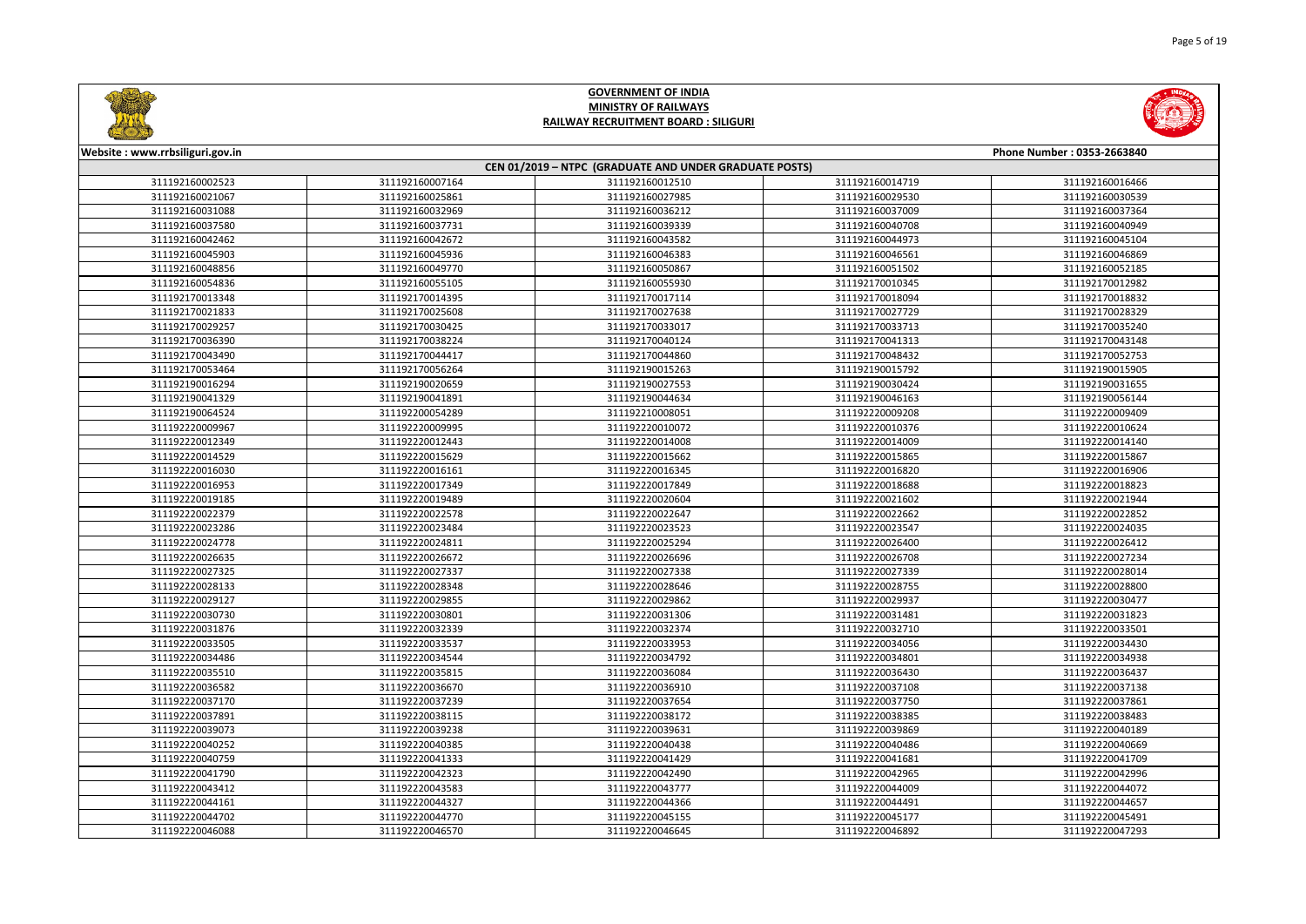



| Website: www.rrbsiliguri.gov.in |                 |                                                        |                 | Phone Number: 0353-2663840 |
|---------------------------------|-----------------|--------------------------------------------------------|-----------------|----------------------------|
|                                 |                 | CEN 01/2019 - NTPC (GRADUATE AND UNDER GRADUATE POSTS) |                 |                            |
| 311192160002523                 | 311192160007164 | 311192160012510                                        | 311192160014719 | 311192160016466            |
| 311192160021067                 | 311192160025861 | 311192160027985                                        | 311192160029530 | 311192160030539            |
| 311192160031088                 | 311192160032969 | 311192160036212                                        | 311192160037009 | 311192160037364            |
| 311192160037580                 | 311192160037731 | 311192160039339                                        | 311192160040708 | 311192160040949            |
| 311192160042462                 | 311192160042672 | 311192160043582                                        | 311192160044973 | 311192160045104            |
| 311192160045903                 | 311192160045936 | 311192160046383                                        | 311192160046561 | 311192160046869            |
| 311192160048856                 | 311192160049770 | 311192160050867                                        | 311192160051502 | 311192160052185            |
| 311192160054836                 | 311192160055105 | 311192160055930                                        | 311192170010345 | 311192170012982            |
| 311192170013348                 | 311192170014395 | 311192170017114                                        | 311192170018094 | 311192170018832            |
| 311192170021833                 | 311192170025608 | 311192170027638                                        | 311192170027729 | 311192170028329            |
| 311192170029257                 | 311192170030425 | 311192170033017                                        | 311192170033713 | 311192170035240            |
| 311192170036390                 | 311192170038224 | 311192170040124                                        | 311192170041313 | 311192170043148            |
| 311192170043490                 | 311192170044417 | 311192170044860                                        | 311192170048432 | 311192170052753            |
| 311192170053464                 | 311192170056264 | 311192190015263                                        | 311192190015792 | 311192190015905            |
| 311192190016294                 | 311192190020659 | 311192190027553                                        | 311192190030424 | 311192190031655            |
| 311192190041329                 | 311192190041891 | 311192190044634                                        | 311192190046163 | 311192190056144            |
| 311192190064524                 | 311192200054289 | 311192210008051                                        | 311192220009208 | 311192220009409            |
| 311192220009967                 | 311192220009995 | 311192220010072                                        | 311192220010376 | 311192220010624            |
| 311192220012349                 | 311192220012443 | 311192220014008                                        | 311192220014009 | 311192220014140            |
| 311192220014529                 | 311192220015629 | 311192220015662                                        | 311192220015865 | 311192220015867            |
| 311192220016030                 | 311192220016161 | 311192220016345                                        | 311192220016820 | 311192220016906            |
| 311192220016953                 | 311192220017349 | 311192220017849                                        | 311192220018688 | 311192220018823            |
| 311192220019185                 | 311192220019489 | 311192220020604                                        | 311192220021602 | 311192220021944            |
| 311192220022379                 | 311192220022578 | 311192220022647                                        | 311192220022662 | 311192220022852            |
| 311192220023286                 | 311192220023484 | 311192220023523                                        | 311192220023547 | 311192220024035            |
| 311192220024778                 | 311192220024811 | 311192220025294                                        | 311192220026400 | 311192220026412            |
| 311192220026635                 | 311192220026672 | 311192220026696                                        | 311192220026708 | 311192220027234            |
| 311192220027325                 | 311192220027337 | 311192220027338                                        | 311192220027339 | 311192220028014            |
| 311192220028133                 | 311192220028348 | 311192220028646                                        | 311192220028755 | 311192220028800            |
| 311192220029127                 | 311192220029855 | 311192220029862                                        | 311192220029937 | 311192220030477            |
| 311192220030730                 | 311192220030801 | 311192220031306                                        | 311192220031481 | 311192220031823            |
| 311192220031876                 | 311192220032339 | 311192220032374                                        | 311192220032710 | 311192220033501            |
| 311192220033505                 | 311192220033537 | 311192220033953                                        | 311192220034056 | 311192220034430            |
| 311192220034486                 | 311192220034544 | 311192220034792                                        | 311192220034801 | 311192220034938            |
| 311192220035510                 | 311192220035815 | 311192220036084                                        | 311192220036430 | 311192220036437            |
| 311192220036582                 | 311192220036670 | 311192220036910                                        | 311192220037108 | 311192220037138            |
| 311192220037170                 | 311192220037239 | 311192220037654                                        | 311192220037750 | 311192220037861            |
| 311192220037891                 | 311192220038115 | 311192220038172                                        | 311192220038385 | 311192220038483            |
| 311192220039073                 | 311192220039238 | 311192220039631                                        | 311192220039869 | 311192220040189            |
| 311192220040252                 | 311192220040385 | 311192220040438                                        | 311192220040486 | 311192220040669            |
| 311192220040759                 | 311192220041333 | 311192220041429                                        | 311192220041681 | 311192220041709            |
| 311192220041790                 | 311192220042323 | 311192220042490                                        | 311192220042965 | 311192220042996            |
| 311192220043412                 | 311192220043583 | 311192220043777                                        | 311192220044009 | 311192220044072            |
| 311192220044161                 | 311192220044327 | 311192220044366                                        | 311192220044491 | 311192220044657            |
| 311192220044702                 | 311192220044770 | 311192220045155                                        | 311192220045177 | 311192220045491            |
| 311192220046088                 | 311192220046570 | 311192220046645                                        | 311192220046892 | 311192220047293            |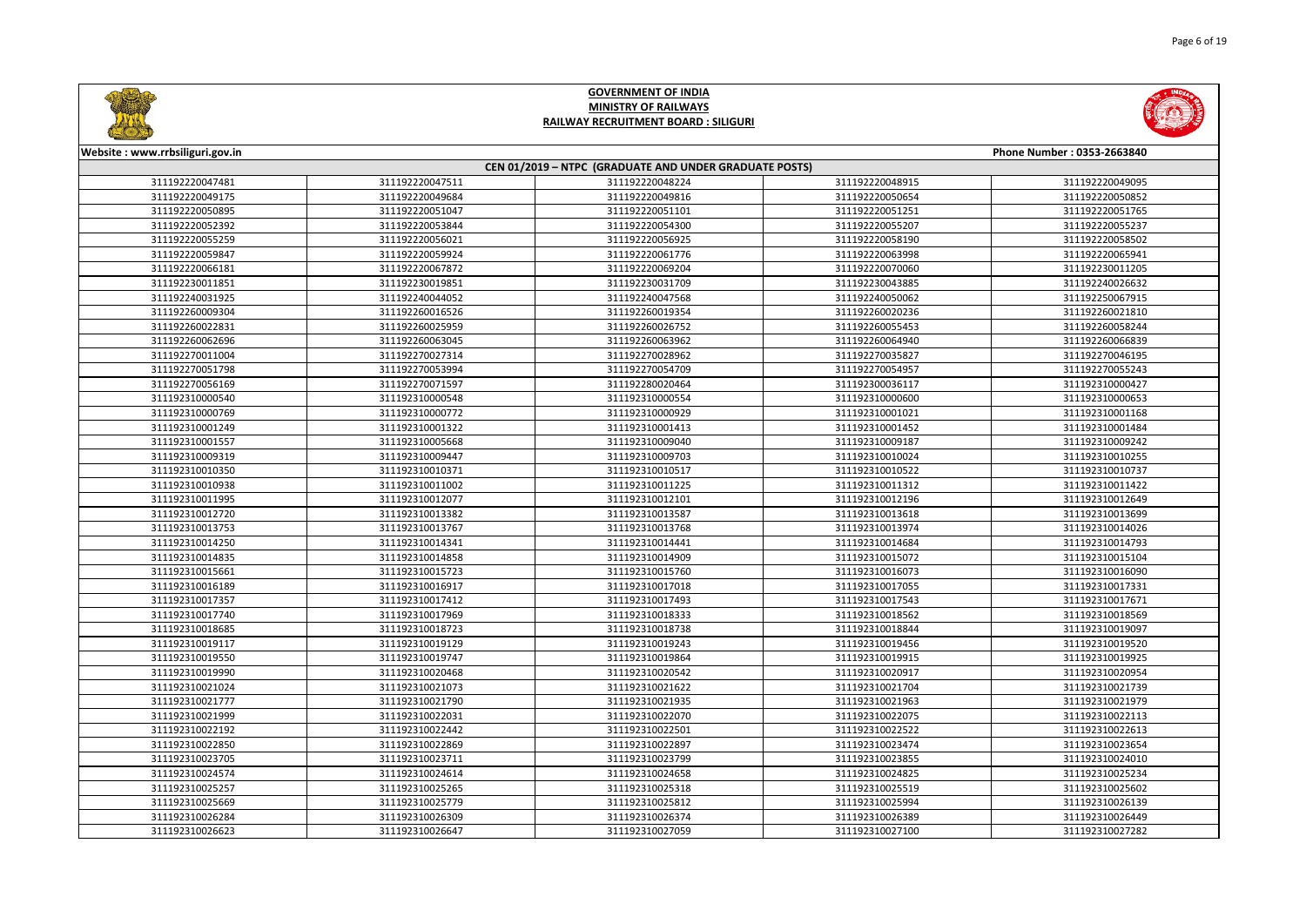



| Website: www.rrbsiliguri.gov.in |                 |                                                        |                 | Phone Number: 0353-2663840 |
|---------------------------------|-----------------|--------------------------------------------------------|-----------------|----------------------------|
|                                 |                 | CEN 01/2019 - NTPC (GRADUATE AND UNDER GRADUATE POSTS) |                 |                            |
| 311192220047481                 | 311192220047511 | 311192220048224                                        | 311192220048915 | 311192220049095            |
| 311192220049175                 | 311192220049684 | 311192220049816                                        | 311192220050654 | 311192220050852            |
| 311192220050895                 | 311192220051047 | 311192220051101                                        | 311192220051251 | 311192220051765            |
| 311192220052392                 | 311192220053844 | 311192220054300                                        | 311192220055207 | 311192220055237            |
| 311192220055259                 | 311192220056021 | 311192220056925                                        | 311192220058190 | 311192220058502            |
| 311192220059847                 | 311192220059924 | 311192220061776                                        | 311192220063998 | 311192220065941            |
| 311192220066181                 | 311192220067872 | 311192220069204                                        | 311192220070060 | 311192230011205            |
| 311192230011851                 | 311192230019851 | 311192230031709                                        | 311192230043885 | 311192240026632            |
| 311192240031925                 | 311192240044052 | 311192240047568                                        | 311192240050062 | 311192250067915            |
| 311192260009304                 | 311192260016526 | 311192260019354                                        | 311192260020236 | 311192260021810            |
| 311192260022831                 | 311192260025959 | 311192260026752                                        | 311192260055453 | 311192260058244            |
| 311192260062696                 | 311192260063045 | 311192260063962                                        | 311192260064940 | 311192260066839            |
| 311192270011004                 | 311192270027314 | 311192270028962                                        | 311192270035827 | 311192270046195            |
| 311192270051798                 | 311192270053994 | 311192270054709                                        | 311192270054957 | 311192270055243            |
| 311192270056169                 | 311192270071597 | 311192280020464                                        | 311192300036117 | 311192310000427            |
| 311192310000540                 | 311192310000548 | 311192310000554                                        | 311192310000600 | 311192310000653            |
| 311192310000769                 | 311192310000772 | 311192310000929                                        | 311192310001021 | 311192310001168            |
| 311192310001249                 | 311192310001322 | 311192310001413                                        | 311192310001452 | 311192310001484            |
| 311192310001557                 | 311192310005668 | 311192310009040                                        | 311192310009187 | 311192310009242            |
| 311192310009319                 | 311192310009447 | 311192310009703                                        | 311192310010024 | 311192310010255            |
| 311192310010350                 | 311192310010371 | 311192310010517                                        | 311192310010522 | 311192310010737            |
| 311192310010938                 | 311192310011002 | 311192310011225                                        | 311192310011312 | 311192310011422            |
| 311192310011995                 | 311192310012077 | 311192310012101                                        | 311192310012196 | 311192310012649            |
| 311192310012720                 | 311192310013382 | 311192310013587                                        | 311192310013618 | 311192310013699            |
| 311192310013753                 | 311192310013767 | 311192310013768                                        | 311192310013974 | 311192310014026            |
| 311192310014250                 | 311192310014341 | 311192310014441                                        | 311192310014684 | 311192310014793            |
| 311192310014835                 | 311192310014858 | 311192310014909                                        | 311192310015072 | 311192310015104            |
| 311192310015661                 | 311192310015723 | 311192310015760                                        | 311192310016073 | 311192310016090            |
| 311192310016189                 | 311192310016917 | 311192310017018                                        | 311192310017055 | 311192310017331            |
| 311192310017357                 | 311192310017412 | 311192310017493                                        | 311192310017543 | 311192310017671            |
| 311192310017740                 | 311192310017969 | 311192310018333                                        | 311192310018562 | 311192310018569            |
| 311192310018685                 | 311192310018723 | 311192310018738                                        | 311192310018844 | 311192310019097            |
| 311192310019117                 | 311192310019129 | 311192310019243                                        | 311192310019456 | 311192310019520            |
| 311192310019550                 | 311192310019747 | 311192310019864                                        | 311192310019915 | 311192310019925            |
| 311192310019990                 | 311192310020468 | 311192310020542                                        | 311192310020917 | 311192310020954            |
| 311192310021024                 | 311192310021073 | 311192310021622                                        | 311192310021704 | 311192310021739            |
| 311192310021777                 | 311192310021790 | 311192310021935                                        | 311192310021963 | 311192310021979            |
| 311192310021999                 | 311192310022031 | 311192310022070                                        | 311192310022075 | 311192310022113            |
| 311192310022192                 | 311192310022442 | 311192310022501                                        | 311192310022522 | 311192310022613            |
| 311192310022850                 | 311192310022869 | 311192310022897                                        | 311192310023474 | 311192310023654            |
| 311192310023705                 | 311192310023711 | 311192310023799                                        | 311192310023855 | 311192310024010            |
| 311192310024574                 | 311192310024614 | 311192310024658                                        | 311192310024825 | 311192310025234            |
| 311192310025257                 | 311192310025265 | 311192310025318                                        | 311192310025519 | 311192310025602            |
| 311192310025669                 | 311192310025779 | 311192310025812                                        | 311192310025994 | 311192310026139            |
| 311192310026284                 | 311192310026309 | 311192310026374                                        | 311192310026389 | 311192310026449            |
| 311192310026623                 | 311192310026647 | 311192310027059                                        | 311192310027100 | 311192310027282            |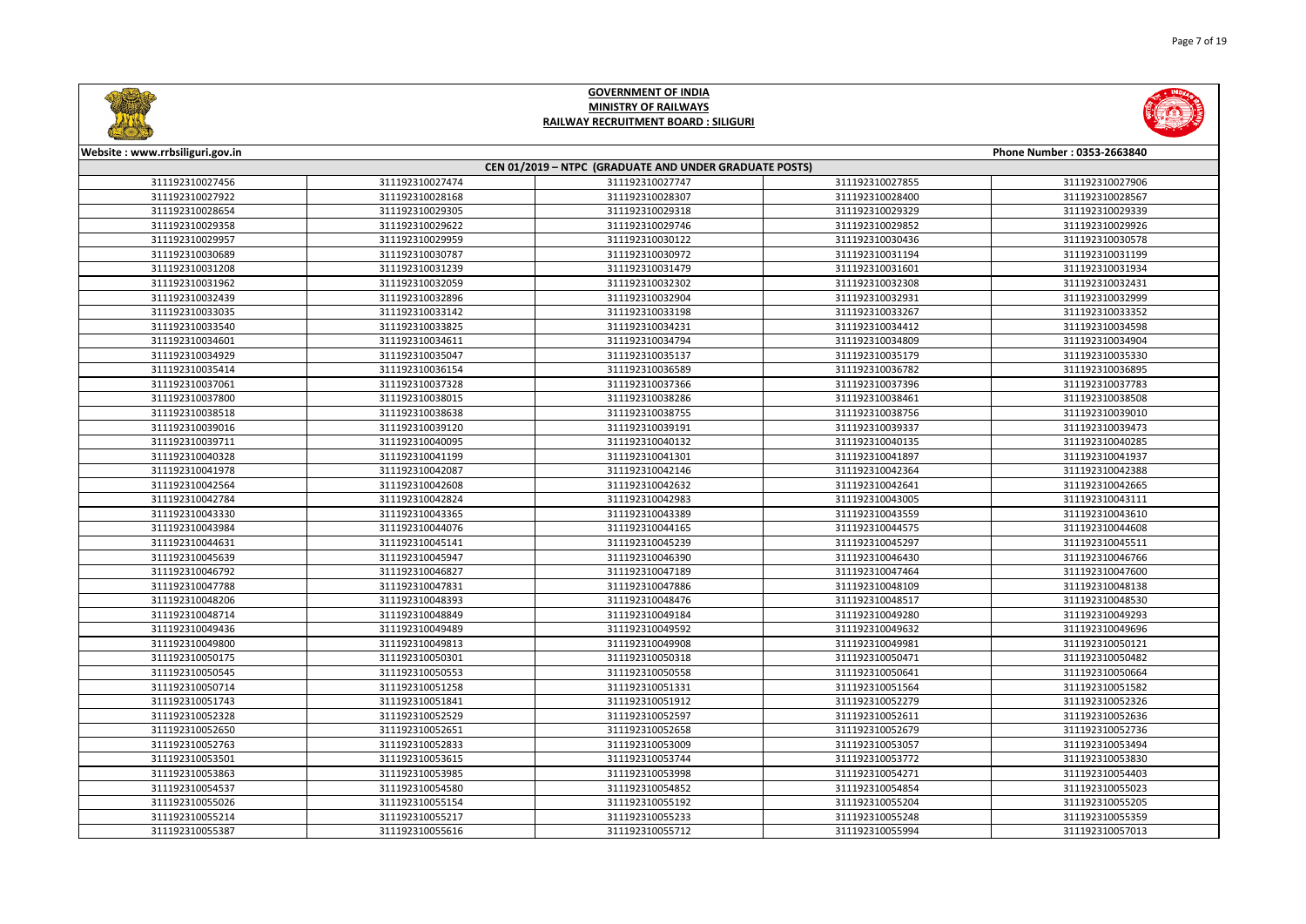



| Website: www.rrbsiliguri.gov.in |                                                        |                 |                 | Phone Number: 0353-2663840 |  |  |
|---------------------------------|--------------------------------------------------------|-----------------|-----------------|----------------------------|--|--|
|                                 | CEN 01/2019 - NTPC (GRADUATE AND UNDER GRADUATE POSTS) |                 |                 |                            |  |  |
| 311192310027456                 | 311192310027474                                        | 311192310027747 | 311192310027855 | 311192310027906            |  |  |
| 311192310027922                 | 311192310028168                                        | 311192310028307 | 311192310028400 | 311192310028567            |  |  |
| 311192310028654                 | 311192310029305                                        | 311192310029318 | 311192310029329 | 311192310029339            |  |  |
| 311192310029358                 | 311192310029622                                        | 311192310029746 | 311192310029852 | 311192310029926            |  |  |
| 311192310029957                 | 311192310029959                                        | 311192310030122 | 311192310030436 | 311192310030578            |  |  |
| 311192310030689                 | 311192310030787                                        | 311192310030972 | 311192310031194 | 311192310031199            |  |  |
| 311192310031208                 | 311192310031239                                        | 311192310031479 | 311192310031601 | 311192310031934            |  |  |
| 311192310031962                 | 311192310032059                                        | 311192310032302 | 311192310032308 | 311192310032431            |  |  |
| 311192310032439                 | 311192310032896                                        | 311192310032904 | 311192310032931 | 311192310032999            |  |  |
| 311192310033035                 | 311192310033142                                        | 311192310033198 | 311192310033267 | 311192310033352            |  |  |
| 311192310033540                 | 311192310033825                                        | 311192310034231 | 311192310034412 | 311192310034598            |  |  |
| 311192310034601                 | 311192310034611                                        | 311192310034794 | 311192310034809 | 311192310034904            |  |  |
| 311192310034929                 | 311192310035047                                        | 311192310035137 | 311192310035179 | 311192310035330            |  |  |
| 311192310035414                 | 311192310036154                                        | 311192310036589 | 311192310036782 | 311192310036895            |  |  |
| 311192310037061                 | 311192310037328                                        | 311192310037366 | 311192310037396 | 311192310037783            |  |  |
| 311192310037800                 | 311192310038015                                        | 311192310038286 | 311192310038461 | 311192310038508            |  |  |
| 311192310038518                 | 311192310038638                                        | 311192310038755 | 311192310038756 | 311192310039010            |  |  |
| 311192310039016                 | 311192310039120                                        | 311192310039191 | 311192310039337 | 311192310039473            |  |  |
| 311192310039711                 | 311192310040095                                        | 311192310040132 | 311192310040135 | 311192310040285            |  |  |
| 311192310040328                 | 311192310041199                                        | 311192310041301 | 311192310041897 | 311192310041937            |  |  |
| 311192310041978                 | 311192310042087                                        | 311192310042146 | 311192310042364 | 311192310042388            |  |  |
| 311192310042564                 | 311192310042608                                        | 311192310042632 | 311192310042641 | 311192310042665            |  |  |
| 311192310042784                 | 311192310042824                                        | 311192310042983 | 311192310043005 | 311192310043111            |  |  |
| 311192310043330                 | 311192310043365                                        | 311192310043389 | 311192310043559 | 311192310043610            |  |  |
| 311192310043984                 | 311192310044076                                        | 311192310044165 | 311192310044575 | 311192310044608            |  |  |
| 311192310044631                 | 311192310045141                                        | 311192310045239 | 311192310045297 | 311192310045511            |  |  |
| 311192310045639                 | 311192310045947                                        | 311192310046390 | 311192310046430 | 311192310046766            |  |  |
| 311192310046792                 | 311192310046827                                        | 311192310047189 | 311192310047464 | 311192310047600            |  |  |
| 311192310047788                 | 311192310047831                                        | 311192310047886 | 311192310048109 | 311192310048138            |  |  |
| 311192310048206                 | 311192310048393                                        | 311192310048476 | 311192310048517 | 311192310048530            |  |  |
| 311192310048714                 | 311192310048849                                        | 311192310049184 | 311192310049280 | 311192310049293            |  |  |
| 311192310049436                 | 311192310049489                                        | 311192310049592 | 311192310049632 | 311192310049696            |  |  |
| 311192310049800                 | 311192310049813                                        | 311192310049908 | 311192310049981 | 311192310050121            |  |  |
| 311192310050175                 | 311192310050301                                        | 311192310050318 | 311192310050471 | 311192310050482            |  |  |
| 311192310050545                 | 311192310050553                                        | 311192310050558 | 311192310050641 | 311192310050664            |  |  |
| 311192310050714                 | 311192310051258                                        | 311192310051331 | 311192310051564 | 311192310051582            |  |  |
| 311192310051743                 | 311192310051841                                        | 311192310051912 | 311192310052279 | 311192310052326            |  |  |
| 311192310052328                 | 311192310052529                                        | 311192310052597 | 311192310052611 | 311192310052636            |  |  |
| 311192310052650                 | 311192310052651                                        | 311192310052658 | 311192310052679 | 311192310052736            |  |  |
| 311192310052763                 | 311192310052833                                        | 311192310053009 | 311192310053057 | 311192310053494            |  |  |
| 311192310053501                 | 311192310053615                                        | 311192310053744 | 311192310053772 | 311192310053830            |  |  |
| 311192310053863                 | 311192310053985                                        | 311192310053998 | 311192310054271 | 311192310054403            |  |  |
| 311192310054537                 | 311192310054580                                        | 311192310054852 | 311192310054854 | 311192310055023            |  |  |
| 311192310055026                 | 311192310055154                                        | 311192310055192 | 311192310055204 | 311192310055205            |  |  |
| 311192310055214                 | 311192310055217                                        | 311192310055233 | 311192310055248 | 311192310055359            |  |  |
| 311192310055387                 | 311192310055616                                        | 311192310055712 | 311192310055994 | 311192310057013            |  |  |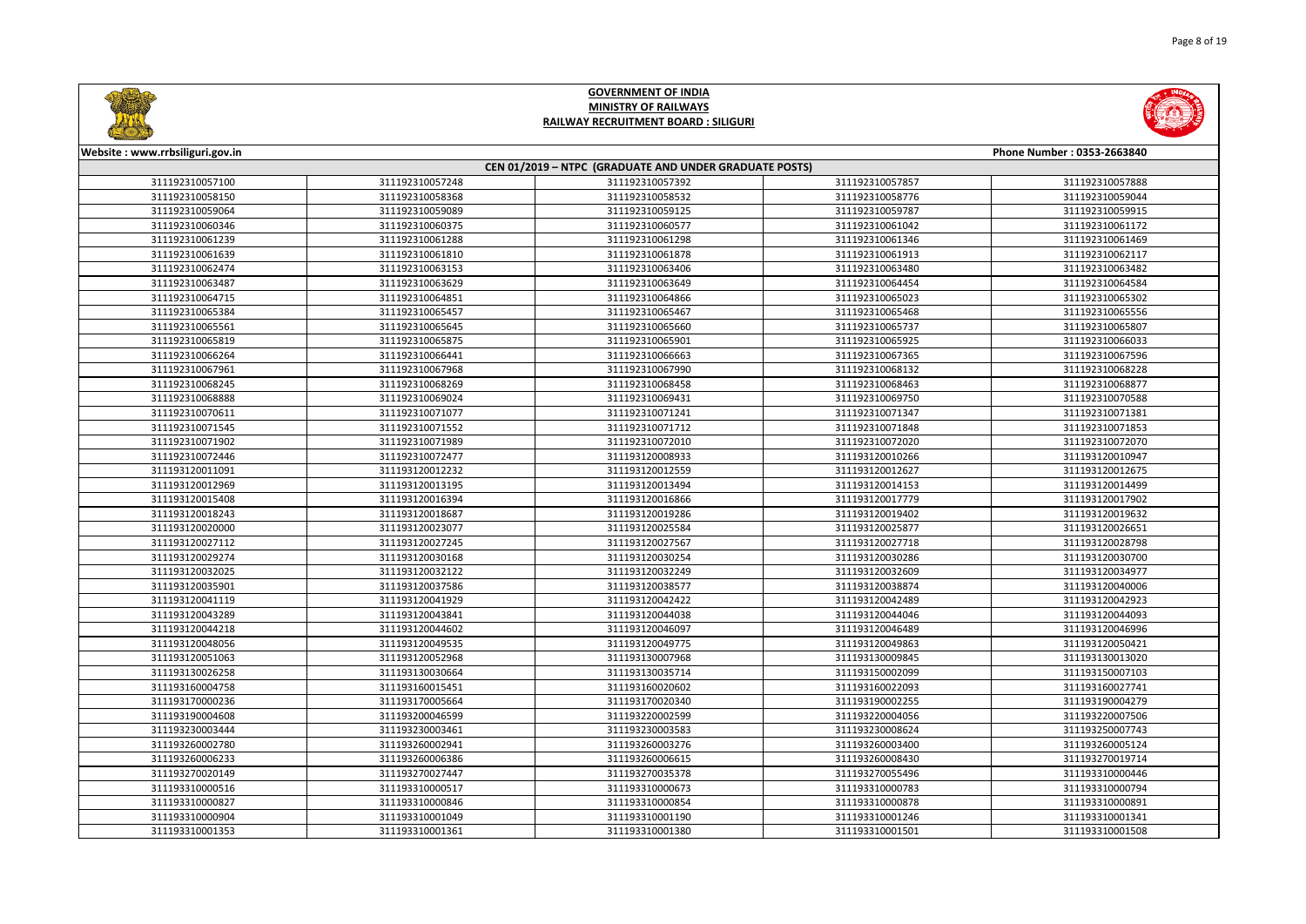



| Website: www.rrbsiliguri.gov.in |                 |                                                        |                 | Phone Number: 0353-2663840 |
|---------------------------------|-----------------|--------------------------------------------------------|-----------------|----------------------------|
|                                 |                 | CEN 01/2019 - NTPC (GRADUATE AND UNDER GRADUATE POSTS) |                 |                            |
| 311192310057100                 | 311192310057248 | 311192310057392                                        | 311192310057857 | 311192310057888            |
| 311192310058150                 | 311192310058368 | 311192310058532                                        | 311192310058776 | 311192310059044            |
| 311192310059064                 | 311192310059089 | 311192310059125                                        | 311192310059787 | 311192310059915            |
| 311192310060346                 | 311192310060375 | 311192310060577                                        | 311192310061042 | 311192310061172            |
| 311192310061239                 | 311192310061288 | 311192310061298                                        | 311192310061346 | 311192310061469            |
| 311192310061639                 | 311192310061810 | 311192310061878                                        | 311192310061913 | 311192310062117            |
| 311192310062474                 | 311192310063153 | 311192310063406                                        | 311192310063480 | 311192310063482            |
| 311192310063487                 | 311192310063629 | 311192310063649                                        | 311192310064454 | 311192310064584            |
| 311192310064715                 | 311192310064851 | 311192310064866                                        | 311192310065023 | 311192310065302            |
| 311192310065384                 | 311192310065457 | 311192310065467                                        | 311192310065468 | 311192310065556            |
| 311192310065561                 | 311192310065645 | 311192310065660                                        | 311192310065737 | 311192310065807            |
| 311192310065819                 | 311192310065875 | 311192310065901                                        | 311192310065925 | 311192310066033            |
| 311192310066264                 | 311192310066441 | 311192310066663                                        | 311192310067365 | 311192310067596            |
| 311192310067961                 | 311192310067968 | 311192310067990                                        | 311192310068132 | 311192310068228            |
| 311192310068245                 | 311192310068269 | 311192310068458                                        | 311192310068463 | 311192310068877            |
| 311192310068888                 | 311192310069024 | 311192310069431                                        | 311192310069750 | 311192310070588            |
| 311192310070611                 | 311192310071077 | 311192310071241                                        | 311192310071347 | 311192310071381            |
| 311192310071545                 | 311192310071552 | 311192310071712                                        | 311192310071848 | 311192310071853            |
| 311192310071902                 | 311192310071989 | 311192310072010                                        | 311192310072020 | 311192310072070            |
| 311192310072446                 | 311192310072477 | 311193120008933                                        | 311193120010266 | 311193120010947            |
| 311193120011091                 | 311193120012232 | 311193120012559                                        | 311193120012627 | 311193120012675            |
| 311193120012969                 | 311193120013195 | 311193120013494                                        | 311193120014153 | 311193120014499            |
| 311193120015408                 | 311193120016394 | 311193120016866                                        | 311193120017779 | 311193120017902            |
| 311193120018243                 | 311193120018687 | 311193120019286                                        | 311193120019402 | 311193120019632            |
| 311193120020000                 | 311193120023077 | 311193120025584                                        | 311193120025877 | 311193120026651            |
| 311193120027112                 | 311193120027245 | 311193120027567                                        | 311193120027718 | 311193120028798            |
| 311193120029274                 | 311193120030168 | 311193120030254                                        | 311193120030286 | 311193120030700            |
| 311193120032025                 | 311193120032122 | 311193120032249                                        | 311193120032609 | 311193120034977            |
| 311193120035901                 | 311193120037586 | 311193120038577                                        | 311193120038874 | 311193120040006            |
| 311193120041119                 | 311193120041929 | 311193120042422                                        | 311193120042489 | 311193120042923            |
| 311193120043289                 | 311193120043841 | 311193120044038                                        | 311193120044046 | 311193120044093            |
| 311193120044218                 | 311193120044602 | 311193120046097                                        | 311193120046489 | 311193120046996            |
| 311193120048056                 | 311193120049535 | 311193120049775                                        | 311193120049863 | 311193120050421            |
| 311193120051063                 | 311193120052968 | 311193130007968                                        | 311193130009845 | 311193130013020            |
| 311193130026258                 | 311193130030664 | 311193130035714                                        | 311193150002099 | 311193150007103            |
| 311193160004758                 | 311193160015451 | 311193160020602                                        | 311193160022093 | 311193160027741            |
| 311193170000236                 | 311193170005664 | 311193170020340                                        | 311193190002255 | 311193190004279            |
| 311193190004608                 | 311193200046599 | 311193220002599                                        | 311193220004056 | 311193220007506            |
| 311193230003444                 | 311193230003461 | 311193230003583                                        | 311193230008624 | 311193250007743            |
| 311193260002780                 | 311193260002941 | 311193260003276                                        | 311193260003400 | 311193260005124            |
| 311193260006233                 | 311193260006386 | 311193260006615                                        | 311193260008430 | 311193270019714            |
| 311193270020149                 | 311193270027447 | 311193270035378                                        | 311193270055496 | 311193310000446            |
| 311193310000516                 | 311193310000517 | 311193310000673                                        | 311193310000783 | 311193310000794            |
| 311193310000827                 | 311193310000846 | 311193310000854                                        | 311193310000878 | 311193310000891            |
| 311193310000904                 | 311193310001049 | 311193310001190                                        | 311193310001246 | 311193310001341            |
| 311193310001353                 | 311193310001361 | 311193310001380                                        | 311193310001501 | 311193310001508            |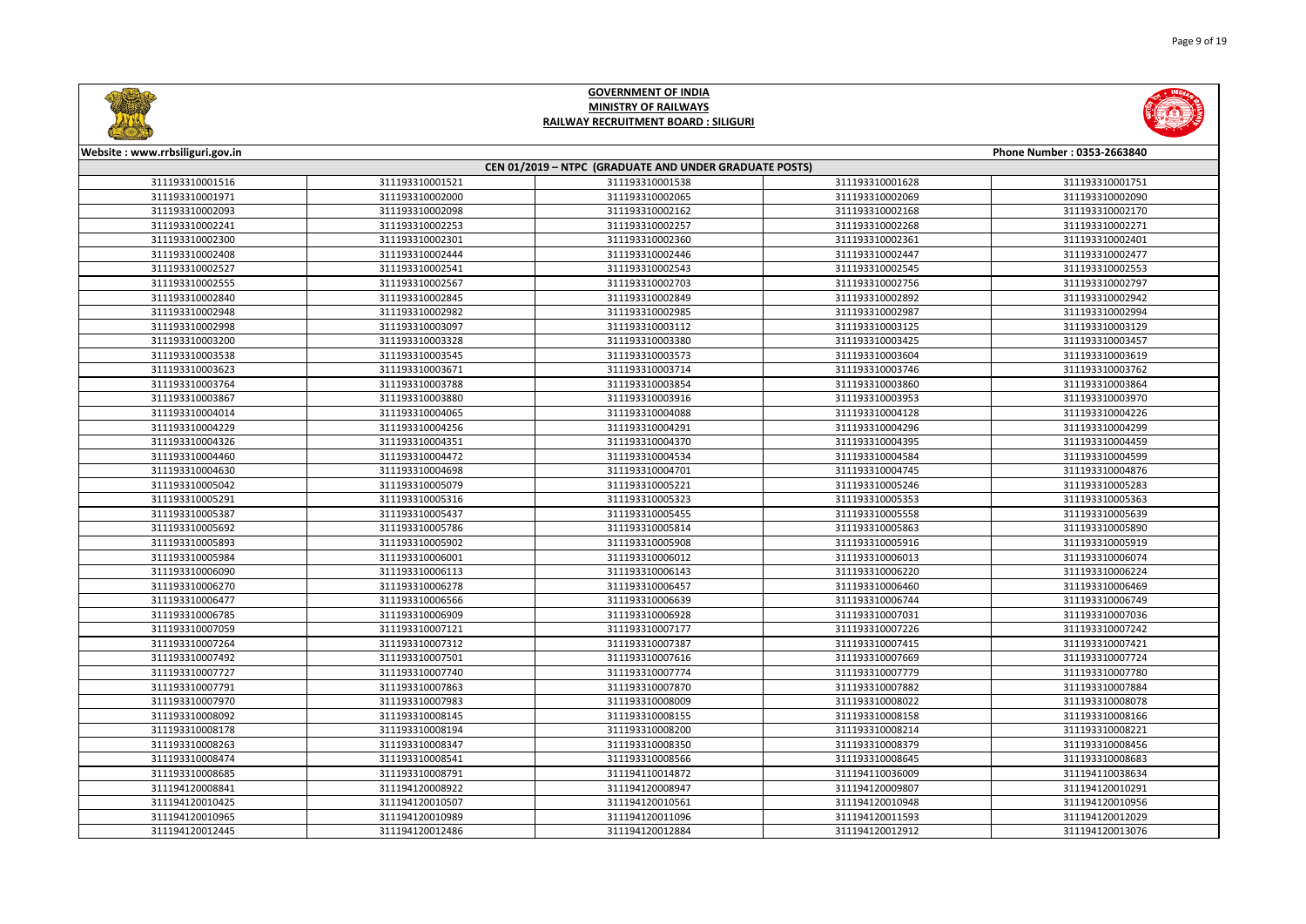



| <u>Circumstants</u>             |                 |                                                        |                 |                            |
|---------------------------------|-----------------|--------------------------------------------------------|-----------------|----------------------------|
| Website: www.rrbsiliguri.gov.in |                 |                                                        |                 | Phone Number: 0353-2663840 |
|                                 |                 | CEN 01/2019 - NTPC (GRADUATE AND UNDER GRADUATE POSTS) |                 |                            |
| 311193310001516                 | 311193310001521 | 311193310001538                                        | 311193310001628 | 311193310001751            |
| 311193310001971                 | 311193310002000 | 311193310002065                                        | 311193310002069 | 311193310002090            |
| 311193310002093                 | 311193310002098 | 311193310002162                                        | 311193310002168 | 311193310002170            |
| 311193310002241                 | 311193310002253 | 311193310002257                                        | 311193310002268 | 311193310002271            |
| 311193310002300                 | 311193310002301 | 311193310002360                                        | 311193310002361 | 311193310002401            |
| 311193310002408                 | 311193310002444 | 311193310002446                                        | 311193310002447 | 311193310002477            |
| 311193310002527                 | 311193310002541 | 311193310002543                                        | 311193310002545 | 311193310002553            |
| 311193310002555                 | 311193310002567 | 311193310002703                                        | 311193310002756 | 311193310002797            |
| 311193310002840                 | 311193310002845 | 311193310002849                                        | 311193310002892 | 311193310002942            |
| 311193310002948                 | 311193310002982 | 311193310002985                                        | 311193310002987 | 311193310002994            |
| 311193310002998                 | 311193310003097 | 311193310003112                                        | 311193310003125 | 311193310003129            |
| 311193310003200                 | 311193310003328 | 311193310003380                                        | 311193310003425 | 311193310003457            |
| 311193310003538                 | 311193310003545 | 311193310003573                                        | 311193310003604 | 311193310003619            |
| 311193310003623                 | 311193310003671 | 311193310003714                                        | 311193310003746 | 311193310003762            |
| 311193310003764                 | 311193310003788 | 311193310003854                                        | 311193310003860 | 311193310003864            |
| 311193310003867                 | 311193310003880 | 311193310003916                                        | 311193310003953 | 311193310003970            |
| 311193310004014                 | 311193310004065 | 311193310004088                                        | 311193310004128 | 311193310004226            |
| 311193310004229                 | 311193310004256 | 311193310004291                                        | 311193310004296 | 311193310004299            |
| 311193310004326                 | 311193310004351 | 311193310004370                                        | 311193310004395 | 311193310004459            |
| 311193310004460                 | 311193310004472 | 311193310004534                                        | 311193310004584 | 311193310004599            |
| 311193310004630                 | 311193310004698 | 311193310004701                                        | 311193310004745 | 311193310004876            |
| 311193310005042                 | 311193310005079 | 311193310005221                                        | 311193310005246 | 311193310005283            |
| 311193310005291                 | 311193310005316 | 311193310005323                                        | 311193310005353 | 311193310005363            |
| 311193310005387                 | 311193310005437 | 311193310005455                                        | 311193310005558 | 311193310005639            |
| 311193310005692                 | 311193310005786 | 311193310005814                                        | 311193310005863 | 311193310005890            |
| 311193310005893                 | 311193310005902 | 311193310005908                                        | 311193310005916 | 311193310005919            |
| 311193310005984                 | 311193310006001 | 311193310006012                                        | 311193310006013 | 311193310006074            |
| 311193310006090                 | 311193310006113 | 311193310006143                                        | 311193310006220 | 311193310006224            |
| 311193310006270                 | 311193310006278 | 311193310006457                                        | 311193310006460 | 311193310006469            |
| 311193310006477                 | 311193310006566 | 311193310006639                                        | 311193310006744 | 311193310006749            |
| 311193310006785                 | 311193310006909 | 311193310006928                                        | 311193310007031 | 311193310007036            |
| 311193310007059                 | 311193310007121 | 311193310007177                                        | 311193310007226 | 311193310007242            |
| 311193310007264                 | 311193310007312 | 311193310007387                                        | 311193310007415 | 311193310007421            |
| 311193310007492                 | 311193310007501 | 311193310007616                                        | 311193310007669 | 311193310007724            |
| 311193310007727                 | 311193310007740 | 311193310007774                                        | 311193310007779 | 311193310007780            |
| 311193310007791                 | 311193310007863 | 311193310007870                                        | 311193310007882 | 311193310007884            |
| 311193310007970                 | 311193310007983 | 311193310008009                                        | 311193310008022 | 311193310008078            |
| 311193310008092                 | 311193310008145 | 311193310008155                                        | 311193310008158 | 311193310008166            |
| 311193310008178                 | 311193310008194 | 311193310008200                                        | 311193310008214 | 311193310008221            |
| 311193310008263                 | 311193310008347 | 311193310008350                                        | 311193310008379 | 311193310008456            |
| 311193310008474                 | 311193310008541 | 311193310008566                                        | 311193310008645 | 311193310008683            |
| 311193310008685                 | 311193310008791 | 311194110014872                                        | 311194110036009 | 311194110038634            |
| 311194120008841                 | 311194120008922 | 311194120008947                                        | 311194120009807 | 311194120010291            |
| 311194120010425                 | 311194120010507 | 311194120010561                                        | 311194120010948 | 311194120010956            |
| 311194120010965                 | 311194120010989 | 311194120011096                                        | 311194120011593 | 311194120012029            |
| 311194120012445                 | 311194120012486 | 311194120012884                                        | 311194120012912 | 311194120013076            |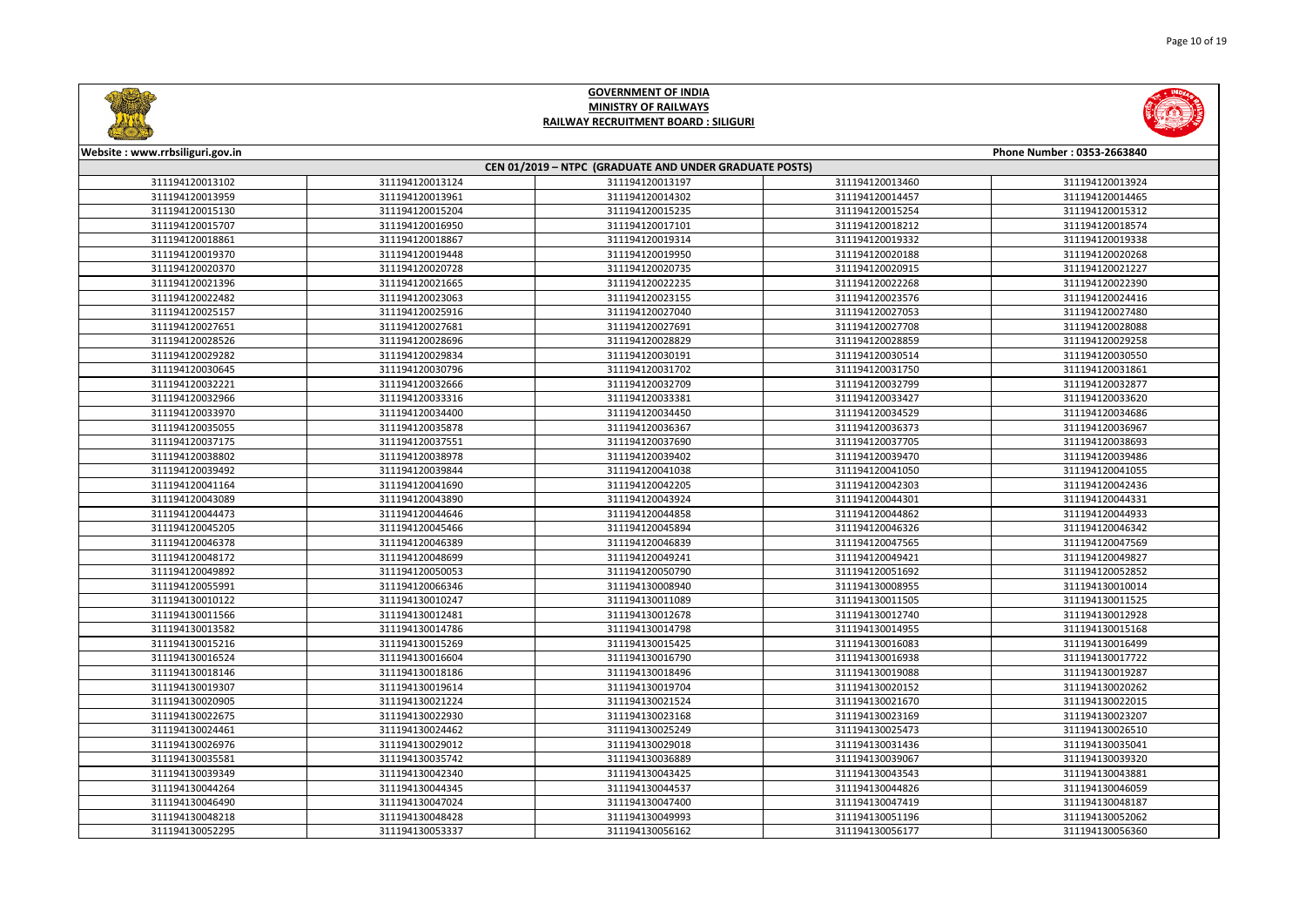



| Website: www.rrbsiliguri.gov.in                        |                 |                 |                 | Phone Number: 0353-2663840 |
|--------------------------------------------------------|-----------------|-----------------|-----------------|----------------------------|
| CEN 01/2019 - NTPC (GRADUATE AND UNDER GRADUATE POSTS) |                 |                 |                 |                            |
| 311194120013102                                        | 311194120013124 | 311194120013197 | 311194120013460 | 311194120013924            |
| 311194120013959                                        | 311194120013961 | 311194120014302 | 311194120014457 | 311194120014465            |
| 311194120015130                                        | 311194120015204 | 311194120015235 | 311194120015254 | 311194120015312            |
| 311194120015707                                        | 311194120016950 | 311194120017101 | 311194120018212 | 311194120018574            |
| 311194120018861                                        | 311194120018867 | 311194120019314 | 311194120019332 | 311194120019338            |
| 311194120019370                                        | 311194120019448 | 311194120019950 | 311194120020188 | 311194120020268            |
| 311194120020370                                        | 311194120020728 | 311194120020735 | 311194120020915 | 311194120021227            |
| 311194120021396                                        | 311194120021665 | 311194120022235 | 311194120022268 | 311194120022390            |
| 311194120022482                                        | 311194120023063 | 311194120023155 | 311194120023576 | 311194120024416            |
| 311194120025157                                        | 311194120025916 | 311194120027040 | 311194120027053 | 311194120027480            |
| 311194120027651                                        | 311194120027681 | 311194120027691 | 311194120027708 | 311194120028088            |
| 311194120028526                                        | 311194120028696 | 311194120028829 | 311194120028859 | 311194120029258            |
| 311194120029282                                        | 311194120029834 | 311194120030191 | 311194120030514 | 311194120030550            |
| 311194120030645                                        | 311194120030796 | 311194120031702 | 311194120031750 | 311194120031861            |
| 311194120032221                                        | 311194120032666 | 311194120032709 | 311194120032799 | 311194120032877            |
| 311194120032966                                        | 311194120033316 | 311194120033381 | 311194120033427 | 311194120033620            |
| 311194120033970                                        | 311194120034400 | 311194120034450 | 311194120034529 | 311194120034686            |
| 311194120035055                                        | 311194120035878 | 311194120036367 | 311194120036373 | 311194120036967            |
| 311194120037175                                        | 311194120037551 | 311194120037690 | 311194120037705 | 311194120038693            |
| 311194120038802                                        | 311194120038978 | 311194120039402 | 311194120039470 | 311194120039486            |
| 311194120039492                                        | 311194120039844 | 311194120041038 | 311194120041050 | 311194120041055            |
| 311194120041164                                        | 311194120041690 | 311194120042205 | 311194120042303 | 311194120042436            |
| 311194120043089                                        | 311194120043890 | 311194120043924 | 311194120044301 | 311194120044331            |
| 311194120044473                                        | 311194120044646 | 311194120044858 | 311194120044862 | 311194120044933            |
| 311194120045205                                        | 311194120045466 | 311194120045894 | 311194120046326 | 311194120046342            |
| 311194120046378                                        | 311194120046389 | 311194120046839 | 311194120047565 | 311194120047569            |
| 311194120048172                                        | 311194120048699 | 311194120049241 | 311194120049421 | 311194120049827            |
| 311194120049892                                        | 311194120050053 | 311194120050790 | 311194120051692 | 311194120052852            |
| 311194120055991                                        | 311194120066346 | 311194130008940 | 311194130008955 | 311194130010014            |
| 311194130010122                                        | 311194130010247 | 311194130011089 | 311194130011505 | 311194130011525            |
| 311194130011566                                        | 311194130012481 | 311194130012678 | 311194130012740 | 311194130012928            |
| 311194130013582                                        | 311194130014786 | 311194130014798 | 311194130014955 | 311194130015168            |
| 311194130015216                                        | 311194130015269 | 311194130015425 | 311194130016083 | 311194130016499            |
| 311194130016524                                        | 311194130016604 | 311194130016790 | 311194130016938 | 311194130017722            |
| 311194130018146                                        | 311194130018186 | 311194130018496 | 311194130019088 | 311194130019287            |
| 311194130019307                                        | 311194130019614 | 311194130019704 | 311194130020152 | 311194130020262            |
| 311194130020905                                        | 311194130021224 | 311194130021524 | 311194130021670 | 311194130022015            |
| 311194130022675                                        | 311194130022930 | 311194130023168 | 311194130023169 | 311194130023207            |
| 311194130024461                                        | 311194130024462 | 311194130025249 | 311194130025473 | 311194130026510            |
| 311194130026976                                        | 311194130029012 | 311194130029018 | 311194130031436 | 311194130035041            |
| 311194130035581                                        | 311194130035742 | 311194130036889 | 311194130039067 | 311194130039320            |
| 311194130039349                                        | 311194130042340 | 311194130043425 | 311194130043543 | 311194130043881            |
| 311194130044264                                        | 311194130044345 | 311194130044537 | 311194130044826 | 311194130046059            |
| 311194130046490                                        | 311194130047024 | 311194130047400 | 311194130047419 | 311194130048187            |
| 311194130048218                                        | 311194130048428 | 311194130049993 | 311194130051196 | 311194130052062            |
| 311194130052295                                        | 311194130053337 | 311194130056162 | 311194130056177 | 311194130056360            |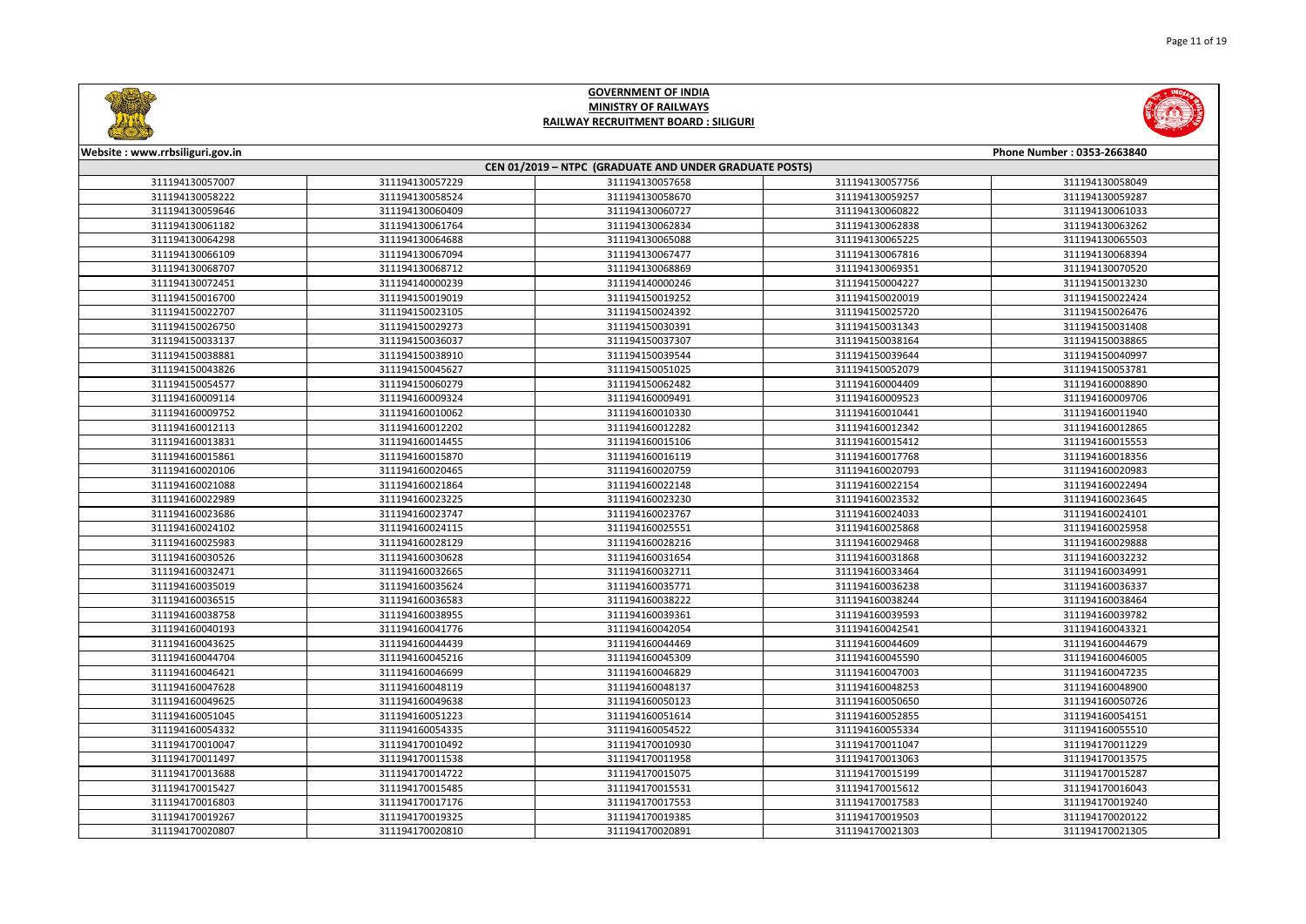



| Website: www.rrbsiliguri.gov.in |                 |                                                        |                 | Phone Number: 0353-2663840 |
|---------------------------------|-----------------|--------------------------------------------------------|-----------------|----------------------------|
|                                 |                 | CEN 01/2019 - NTPC (GRADUATE AND UNDER GRADUATE POSTS) |                 |                            |
| 311194130057007                 | 311194130057229 | 311194130057658                                        | 311194130057756 | 311194130058049            |
| 311194130058222                 | 311194130058524 | 311194130058670                                        | 311194130059257 | 311194130059287            |
| 311194130059646                 | 311194130060409 | 311194130060727                                        | 311194130060822 | 311194130061033            |
| 311194130061182                 | 311194130061764 | 311194130062834                                        | 311194130062838 | 311194130063262            |
| 311194130064298                 | 311194130064688 | 311194130065088                                        | 311194130065225 | 311194130065503            |
| 311194130066109                 | 311194130067094 | 311194130067477                                        | 311194130067816 | 311194130068394            |
| 311194130068707                 | 311194130068712 | 311194130068869                                        | 311194130069351 | 311194130070520            |
| 311194130072451                 | 311194140000239 | 311194140000246                                        | 311194150004227 | 311194150013230            |
| 311194150016700                 | 311194150019019 | 311194150019252                                        | 311194150020019 | 311194150022424            |
| 311194150022707                 | 311194150023105 | 311194150024392                                        | 311194150025720 | 311194150026476            |
| 311194150026750                 | 311194150029273 | 311194150030391                                        | 311194150031343 | 311194150031408            |
| 311194150033137                 | 311194150036037 | 311194150037307                                        | 311194150038164 | 311194150038865            |
| 311194150038881                 | 311194150038910 | 311194150039544                                        | 311194150039644 | 311194150040997            |
| 311194150043826                 | 311194150045627 | 311194150051025                                        | 311194150052079 | 311194150053781            |
| 311194150054577                 | 311194150060279 | 311194150062482                                        | 311194160004409 | 311194160008890            |
| 311194160009114                 | 311194160009324 | 311194160009491                                        | 311194160009523 | 311194160009706            |
| 311194160009752                 | 311194160010062 | 311194160010330                                        | 311194160010441 | 311194160011940            |
| 311194160012113                 | 311194160012202 | 311194160012282                                        | 311194160012342 | 311194160012865            |
| 311194160013831                 | 311194160014455 | 311194160015106                                        | 311194160015412 | 311194160015553            |
| 311194160015861                 | 311194160015870 | 311194160016119                                        | 311194160017768 | 311194160018356            |
| 311194160020106                 | 311194160020465 | 311194160020759                                        | 311194160020793 | 311194160020983            |
| 311194160021088                 | 311194160021864 | 311194160022148                                        | 311194160022154 | 311194160022494            |
| 311194160022989                 | 311194160023225 | 311194160023230                                        | 311194160023532 | 311194160023645            |
| 311194160023686                 | 311194160023747 | 311194160023767                                        | 311194160024033 | 311194160024101            |
| 311194160024102                 | 311194160024115 | 311194160025551                                        | 311194160025868 | 311194160025958            |
| 311194160025983                 | 311194160028129 | 311194160028216                                        | 311194160029468 | 311194160029888            |
| 311194160030526                 | 311194160030628 | 311194160031654                                        | 311194160031868 | 311194160032232            |
| 311194160032471                 | 311194160032665 | 311194160032711                                        | 311194160033464 | 311194160034991            |
| 311194160035019                 | 311194160035624 | 311194160035771                                        | 311194160036238 | 311194160036337            |
| 311194160036515                 | 311194160036583 | 311194160038222                                        | 311194160038244 | 311194160038464            |
| 311194160038758                 | 311194160038955 | 311194160039361                                        | 311194160039593 | 311194160039782            |
| 311194160040193                 | 311194160041776 | 311194160042054                                        | 311194160042541 | 311194160043321            |
| 311194160043625                 | 311194160044439 | 311194160044469                                        | 311194160044609 | 311194160044679            |
| 311194160044704                 | 311194160045216 | 311194160045309                                        | 311194160045590 | 311194160046005            |
| 311194160046421                 | 311194160046699 | 311194160046829                                        | 311194160047003 | 311194160047235            |
| 311194160047628                 | 311194160048119 | 311194160048137                                        | 311194160048253 | 311194160048900            |
| 311194160049625                 | 311194160049638 | 311194160050123                                        | 311194160050650 | 311194160050726            |
| 311194160051045                 | 311194160051223 | 311194160051614                                        | 311194160052855 | 311194160054151            |
| 311194160054332                 | 311194160054335 | 311194160054522                                        | 311194160055334 | 311194160055510            |
| 311194170010047                 | 311194170010492 | 311194170010930                                        | 311194170011047 | 311194170011229            |
| 311194170011497                 | 311194170011538 | 311194170011958                                        | 311194170013063 | 311194170013575            |
| 311194170013688                 | 311194170014722 | 311194170015075                                        | 311194170015199 | 311194170015287            |
| 311194170015427                 | 311194170015485 | 311194170015531                                        | 311194170015612 | 311194170016043            |
| 311194170016803                 | 311194170017176 | 311194170017553                                        | 311194170017583 | 311194170019240            |
| 311194170019267                 | 311194170019325 | 311194170019385                                        | 311194170019503 | 311194170020122            |
| 311194170020807                 | 311194170020810 | 311194170020891                                        | 311194170021303 | 311194170021305            |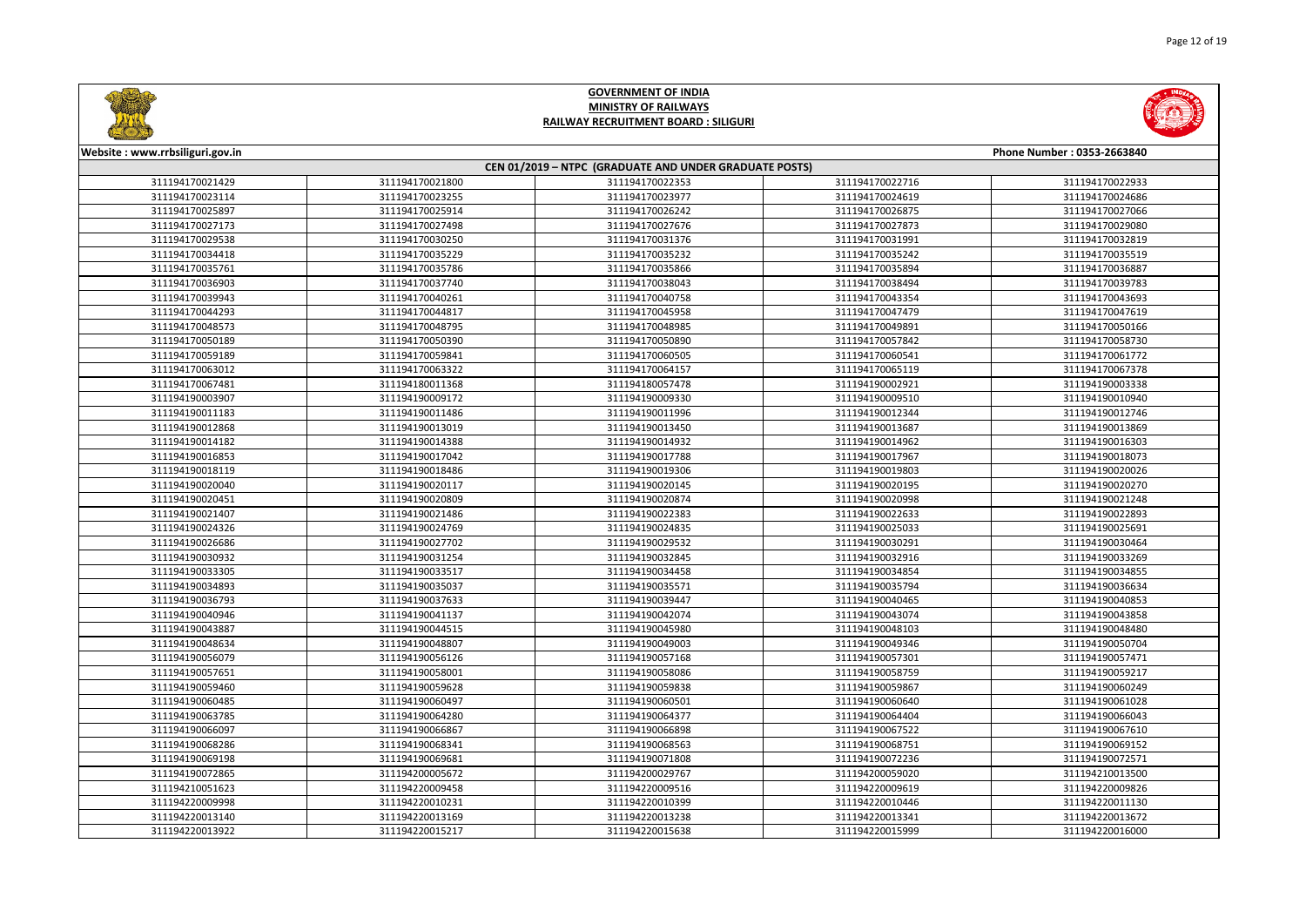



| Website: www.rrbsiliguri.gov.in | Phone Number: 0353-2663840                             |                 |                 |                 |  |  |
|---------------------------------|--------------------------------------------------------|-----------------|-----------------|-----------------|--|--|
|                                 | CEN 01/2019 - NTPC (GRADUATE AND UNDER GRADUATE POSTS) |                 |                 |                 |  |  |
| 311194170021429                 | 311194170021800                                        | 311194170022353 | 311194170022716 | 311194170022933 |  |  |
| 311194170023114                 | 311194170023255                                        | 311194170023977 | 311194170024619 | 311194170024686 |  |  |
| 311194170025897                 | 311194170025914                                        | 311194170026242 | 311194170026875 | 311194170027066 |  |  |
| 311194170027173                 | 311194170027498                                        | 311194170027676 | 311194170027873 | 311194170029080 |  |  |
| 311194170029538                 | 311194170030250                                        | 311194170031376 | 311194170031991 | 311194170032819 |  |  |
| 311194170034418                 | 311194170035229                                        | 311194170035232 | 311194170035242 | 311194170035519 |  |  |
| 311194170035761                 | 311194170035786                                        | 311194170035866 | 311194170035894 | 311194170036887 |  |  |
| 311194170036903                 | 311194170037740                                        | 311194170038043 | 311194170038494 | 311194170039783 |  |  |
| 311194170039943                 | 311194170040261                                        | 311194170040758 | 311194170043354 | 311194170043693 |  |  |
| 311194170044293                 | 311194170044817                                        | 311194170045958 | 311194170047479 | 311194170047619 |  |  |
| 311194170048573                 | 311194170048795                                        | 311194170048985 | 311194170049891 | 311194170050166 |  |  |
| 311194170050189                 | 311194170050390                                        | 311194170050890 | 311194170057842 | 311194170058730 |  |  |
| 311194170059189                 | 311194170059841                                        | 311194170060505 | 311194170060541 | 311194170061772 |  |  |
| 311194170063012                 | 311194170063322                                        | 311194170064157 | 311194170065119 | 311194170067378 |  |  |
| 311194170067481                 | 311194180011368                                        | 311194180057478 | 311194190002921 | 311194190003338 |  |  |
| 311194190003907                 | 311194190009172                                        | 311194190009330 | 311194190009510 | 311194190010940 |  |  |
| 311194190011183                 | 311194190011486                                        | 311194190011996 | 311194190012344 | 311194190012746 |  |  |
| 311194190012868                 | 311194190013019                                        | 311194190013450 | 311194190013687 | 311194190013869 |  |  |
| 311194190014182                 | 311194190014388                                        | 311194190014932 | 311194190014962 | 311194190016303 |  |  |
| 311194190016853                 | 311194190017042                                        | 311194190017788 | 311194190017967 | 311194190018073 |  |  |
| 311194190018119                 | 311194190018486                                        | 311194190019306 | 311194190019803 | 311194190020026 |  |  |
| 311194190020040                 | 311194190020117                                        | 311194190020145 | 311194190020195 | 311194190020270 |  |  |
| 311194190020451                 | 311194190020809                                        | 311194190020874 | 311194190020998 | 311194190021248 |  |  |
| 311194190021407                 | 311194190021486                                        | 311194190022383 | 311194190022633 | 311194190022893 |  |  |
| 311194190024326                 | 311194190024769                                        | 311194190024835 | 311194190025033 | 311194190025691 |  |  |
| 311194190026686                 | 311194190027702                                        | 311194190029532 | 311194190030291 | 311194190030464 |  |  |
| 311194190030932                 | 311194190031254                                        | 311194190032845 | 311194190032916 | 311194190033269 |  |  |
| 311194190033305                 | 311194190033517                                        | 311194190034458 | 311194190034854 | 311194190034855 |  |  |
| 311194190034893                 | 311194190035037                                        | 311194190035571 | 311194190035794 | 311194190036634 |  |  |
| 311194190036793                 | 311194190037633                                        | 311194190039447 | 311194190040465 | 311194190040853 |  |  |
| 311194190040946                 | 311194190041137                                        | 311194190042074 | 311194190043074 | 311194190043858 |  |  |
| 311194190043887                 | 311194190044515                                        | 311194190045980 | 311194190048103 | 311194190048480 |  |  |
| 311194190048634                 | 311194190048807                                        | 311194190049003 | 311194190049346 | 311194190050704 |  |  |
| 311194190056079                 | 311194190056126                                        | 311194190057168 | 311194190057301 | 311194190057471 |  |  |
| 311194190057651                 | 311194190058001                                        | 311194190058086 | 311194190058759 | 311194190059217 |  |  |
| 311194190059460                 | 311194190059628                                        | 311194190059838 | 311194190059867 | 311194190060249 |  |  |
| 311194190060485                 | 311194190060497                                        | 311194190060501 | 311194190060640 | 311194190061028 |  |  |
| 311194190063785                 | 311194190064280                                        | 311194190064377 | 311194190064404 | 311194190066043 |  |  |
| 311194190066097                 | 311194190066867                                        | 311194190066898 | 311194190067522 | 311194190067610 |  |  |
| 311194190068286                 | 311194190068341                                        | 311194190068563 | 311194190068751 | 311194190069152 |  |  |
| 311194190069198                 | 311194190069681                                        | 311194190071808 | 311194190072236 | 311194190072571 |  |  |
| 311194190072865                 | 311194200005672                                        | 311194200029767 | 311194200059020 | 311194210013500 |  |  |
| 311194210051623                 | 311194220009458                                        | 311194220009516 | 311194220009619 | 311194220009826 |  |  |
| 311194220009998                 | 311194220010231                                        | 311194220010399 | 311194220010446 | 311194220011130 |  |  |
| 311194220013140                 | 311194220013169                                        | 311194220013238 | 311194220013341 | 311194220013672 |  |  |
| 311194220013922                 | 311194220015217                                        | 311194220015638 | 311194220015999 | 311194220016000 |  |  |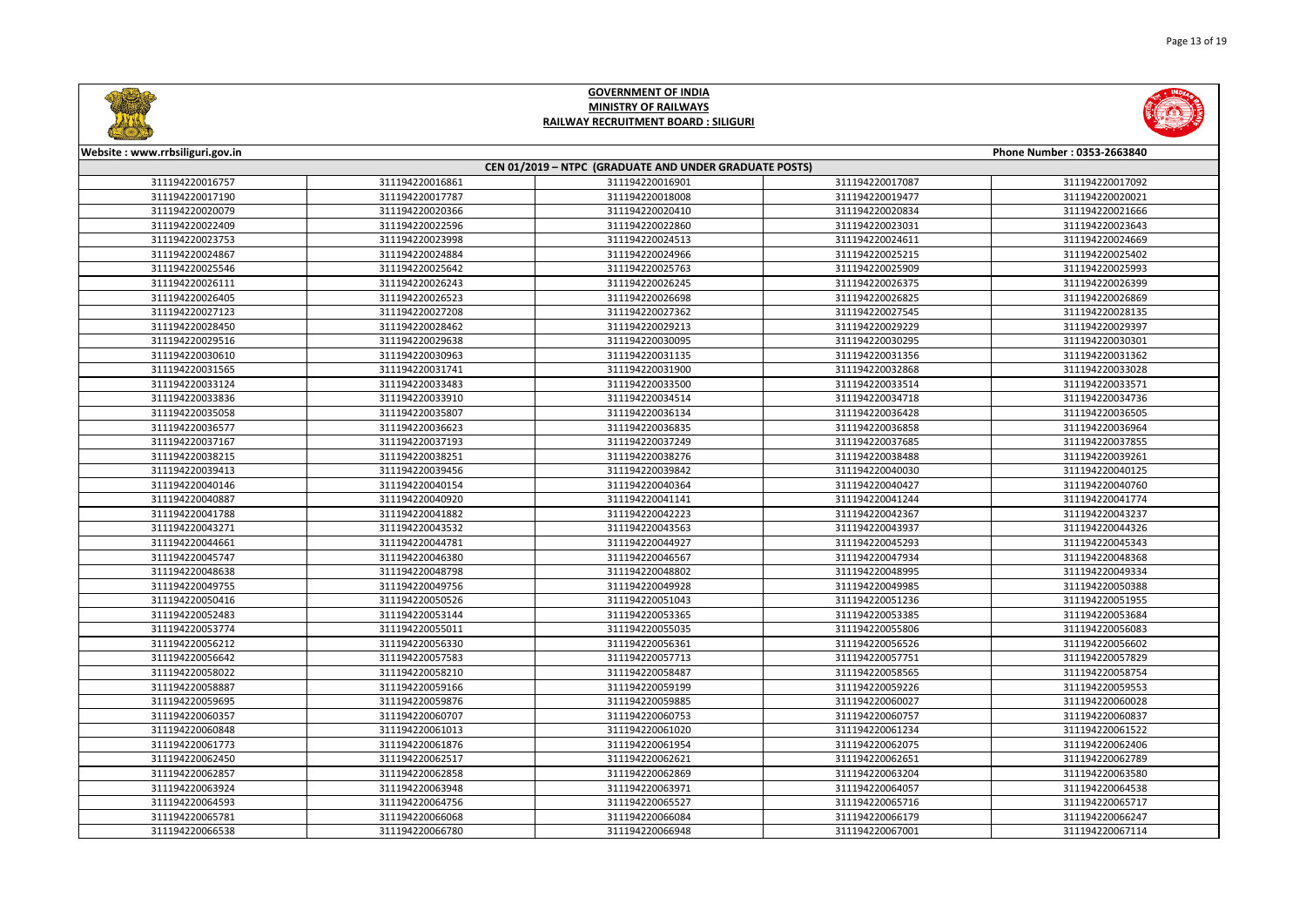



| Website: www.rrbsiliguri.gov.in | Phone Number: 0353-2663840                             |                 |                 |                 |  |  |
|---------------------------------|--------------------------------------------------------|-----------------|-----------------|-----------------|--|--|
|                                 | CEN 01/2019 - NTPC (GRADUATE AND UNDER GRADUATE POSTS) |                 |                 |                 |  |  |
| 311194220016757                 | 311194220016861                                        | 311194220016901 | 311194220017087 | 311194220017092 |  |  |
| 311194220017190                 | 311194220017787                                        | 311194220018008 | 311194220019477 | 311194220020021 |  |  |
| 311194220020079                 | 311194220020366                                        | 311194220020410 | 311194220020834 | 311194220021666 |  |  |
| 311194220022409                 | 311194220022596                                        | 311194220022860 | 311194220023031 | 311194220023643 |  |  |
| 311194220023753                 | 311194220023998                                        | 311194220024513 | 311194220024611 | 311194220024669 |  |  |
| 311194220024867                 | 311194220024884                                        | 311194220024966 | 311194220025215 | 311194220025402 |  |  |
| 311194220025546                 | 311194220025642                                        | 311194220025763 | 311194220025909 | 311194220025993 |  |  |
| 311194220026111                 | 311194220026243                                        | 311194220026245 | 311194220026375 | 311194220026399 |  |  |
| 311194220026405                 | 311194220026523                                        | 311194220026698 | 311194220026825 | 311194220026869 |  |  |
| 311194220027123                 | 311194220027208                                        | 311194220027362 | 311194220027545 | 311194220028135 |  |  |
| 311194220028450                 | 311194220028462                                        | 311194220029213 | 311194220029229 | 311194220029397 |  |  |
| 311194220029516                 | 311194220029638                                        | 311194220030095 | 311194220030295 | 311194220030301 |  |  |
| 311194220030610                 | 311194220030963                                        | 311194220031135 | 311194220031356 | 311194220031362 |  |  |
| 311194220031565                 | 311194220031741                                        | 311194220031900 | 311194220032868 | 311194220033028 |  |  |
| 311194220033124                 | 311194220033483                                        | 311194220033500 | 311194220033514 | 311194220033571 |  |  |
| 311194220033836                 | 311194220033910                                        | 311194220034514 | 311194220034718 | 311194220034736 |  |  |
| 311194220035058                 | 311194220035807                                        | 311194220036134 | 311194220036428 | 311194220036505 |  |  |
| 311194220036577                 | 311194220036623                                        | 311194220036835 | 311194220036858 | 311194220036964 |  |  |
| 311194220037167                 | 311194220037193                                        | 311194220037249 | 311194220037685 | 311194220037855 |  |  |
| 311194220038215                 | 311194220038251                                        | 311194220038276 | 311194220038488 | 311194220039261 |  |  |
| 311194220039413                 | 311194220039456                                        | 311194220039842 | 311194220040030 | 311194220040125 |  |  |
| 311194220040146                 | 311194220040154                                        | 311194220040364 | 311194220040427 | 311194220040760 |  |  |
| 311194220040887                 | 311194220040920                                        | 311194220041141 | 311194220041244 | 311194220041774 |  |  |
| 311194220041788                 | 311194220041882                                        | 311194220042223 | 311194220042367 | 311194220043237 |  |  |
| 311194220043271                 | 311194220043532                                        | 311194220043563 | 311194220043937 | 311194220044326 |  |  |
| 311194220044661                 | 311194220044781                                        | 311194220044927 | 311194220045293 | 311194220045343 |  |  |
| 311194220045747                 | 311194220046380                                        | 311194220046567 | 311194220047934 | 311194220048368 |  |  |
| 311194220048638                 | 311194220048798                                        | 311194220048802 | 311194220048995 | 311194220049334 |  |  |
| 311194220049755                 | 311194220049756                                        | 311194220049928 | 311194220049985 | 311194220050388 |  |  |
| 311194220050416                 | 311194220050526                                        | 311194220051043 | 311194220051236 | 311194220051955 |  |  |
| 311194220052483                 | 311194220053144                                        | 311194220053365 | 311194220053385 | 311194220053684 |  |  |
| 311194220053774                 | 311194220055011                                        | 311194220055035 | 311194220055806 | 311194220056083 |  |  |
| 311194220056212                 | 311194220056330                                        | 311194220056361 | 311194220056526 | 311194220056602 |  |  |
| 311194220056642                 | 311194220057583                                        | 311194220057713 | 311194220057751 | 311194220057829 |  |  |
| 311194220058022                 | 311194220058210                                        | 311194220058487 | 311194220058565 | 311194220058754 |  |  |
| 311194220058887                 | 311194220059166                                        | 311194220059199 | 311194220059226 | 311194220059553 |  |  |
| 311194220059695                 | 311194220059876                                        | 311194220059885 | 311194220060027 | 311194220060028 |  |  |
| 311194220060357                 | 311194220060707                                        | 311194220060753 | 311194220060757 | 311194220060837 |  |  |
| 311194220060848                 | 311194220061013                                        | 311194220061020 | 311194220061234 | 311194220061522 |  |  |
| 311194220061773                 | 311194220061876                                        | 311194220061954 | 311194220062075 | 311194220062406 |  |  |
| 311194220062450                 | 311194220062517                                        | 311194220062621 | 311194220062651 | 311194220062789 |  |  |
| 311194220062857                 | 311194220062858                                        | 311194220062869 | 311194220063204 | 311194220063580 |  |  |
| 311194220063924                 | 311194220063948                                        | 311194220063971 | 311194220064057 | 311194220064538 |  |  |
| 311194220064593                 | 311194220064756                                        | 311194220065527 | 311194220065716 | 311194220065717 |  |  |
| 311194220065781                 | 311194220066068                                        | 311194220066084 | 311194220066179 | 311194220066247 |  |  |
| 311194220066538                 | 311194220066780                                        | 311194220066948 | 311194220067001 | 311194220067114 |  |  |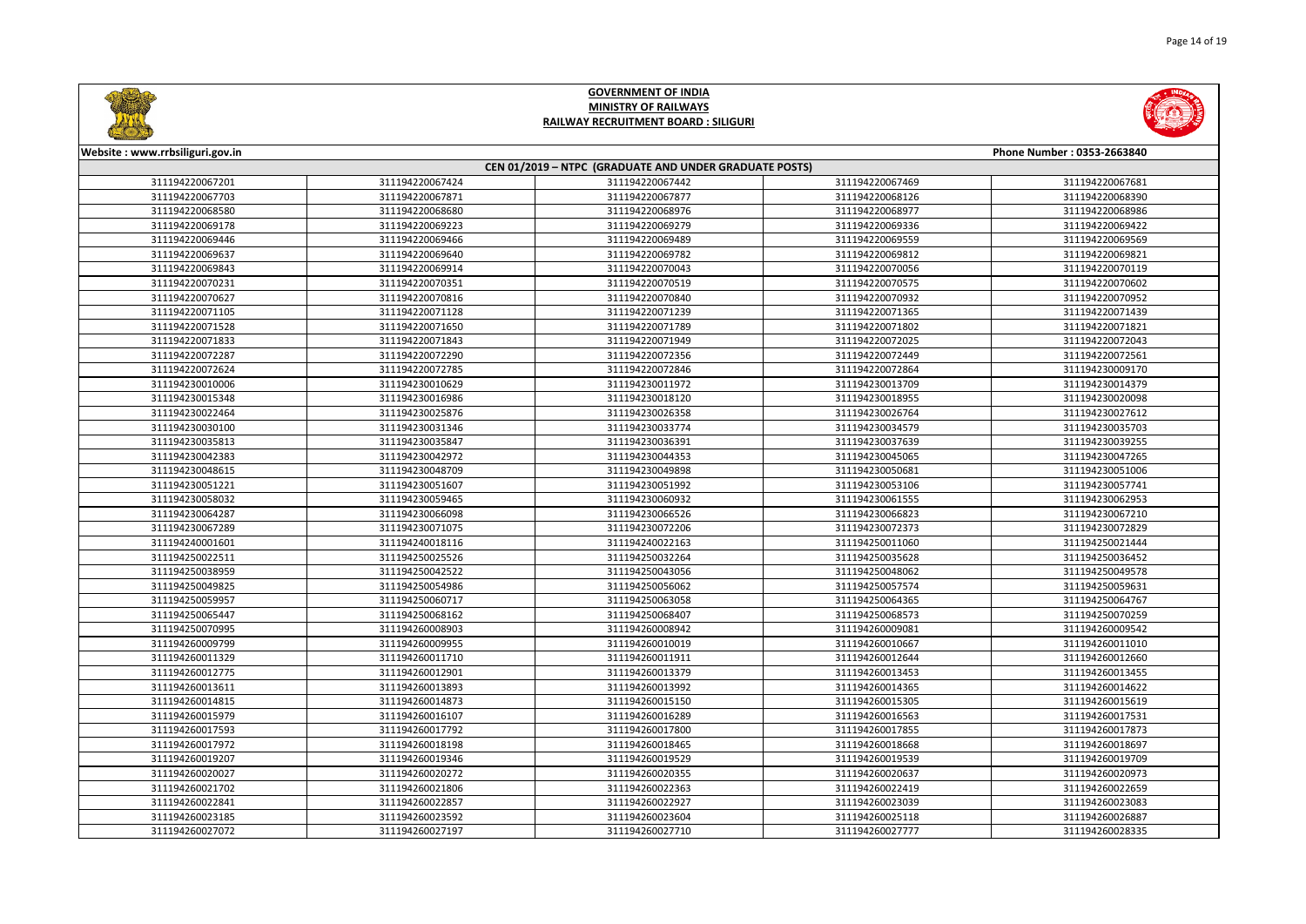



| Website: www.rrbsiliguri.gov.in |                 |                                                        |                 | Phone Number: 0353-2663840 |
|---------------------------------|-----------------|--------------------------------------------------------|-----------------|----------------------------|
|                                 |                 | CEN 01/2019 - NTPC (GRADUATE AND UNDER GRADUATE POSTS) |                 |                            |
| 311194220067201                 | 311194220067424 | 311194220067442                                        | 311194220067469 | 311194220067681            |
| 311194220067703                 | 311194220067871 | 311194220067877                                        | 311194220068126 | 311194220068390            |
| 311194220068580                 | 311194220068680 | 311194220068976                                        | 311194220068977 | 311194220068986            |
| 311194220069178                 | 311194220069223 | 311194220069279                                        | 311194220069336 | 311194220069422            |
| 311194220069446                 | 311194220069466 | 311194220069489                                        | 311194220069559 | 311194220069569            |
| 311194220069637                 | 311194220069640 | 311194220069782                                        | 311194220069812 | 311194220069821            |
| 311194220069843                 | 311194220069914 | 311194220070043                                        | 311194220070056 | 311194220070119            |
| 311194220070231                 | 311194220070351 | 311194220070519                                        | 311194220070575 | 311194220070602            |
| 311194220070627                 | 311194220070816 | 311194220070840                                        | 311194220070932 | 311194220070952            |
| 311194220071105                 | 311194220071128 | 311194220071239                                        | 311194220071365 | 311194220071439            |
| 311194220071528                 | 311194220071650 | 311194220071789                                        | 311194220071802 | 311194220071821            |
| 311194220071833                 | 311194220071843 | 311194220071949                                        | 311194220072025 | 311194220072043            |
| 311194220072287                 | 311194220072290 | 311194220072356                                        | 311194220072449 | 311194220072561            |
| 311194220072624                 | 311194220072785 | 311194220072846                                        | 311194220072864 | 311194230009170            |
| 311194230010006                 | 311194230010629 | 311194230011972                                        | 311194230013709 | 311194230014379            |
| 311194230015348                 | 311194230016986 | 311194230018120                                        | 311194230018955 | 311194230020098            |
| 311194230022464                 | 311194230025876 | 311194230026358                                        | 311194230026764 | 311194230027612            |
| 311194230030100                 | 311194230031346 | 311194230033774                                        | 311194230034579 | 311194230035703            |
| 311194230035813                 | 311194230035847 | 311194230036391                                        | 311194230037639 | 311194230039255            |
| 311194230042383                 | 311194230042972 | 311194230044353                                        | 311194230045065 | 311194230047265            |
| 311194230048615                 | 311194230048709 | 311194230049898                                        | 311194230050681 | 311194230051006            |
| 311194230051221                 | 311194230051607 | 311194230051992                                        | 311194230053106 | 311194230057741            |
| 311194230058032                 | 311194230059465 | 311194230060932                                        | 311194230061555 | 311194230062953            |
| 311194230064287                 | 311194230066098 | 311194230066526                                        | 311194230066823 | 311194230067210            |
| 311194230067289                 | 311194230071075 | 311194230072206                                        | 311194230072373 | 311194230072829            |
| 311194240001601                 | 311194240018116 | 311194240022163                                        | 311194250011060 | 311194250021444            |
| 311194250022511                 | 311194250025526 | 311194250032264                                        | 311194250035628 | 311194250036452            |
| 311194250038959                 | 311194250042522 | 311194250043056                                        | 311194250048062 | 311194250049578            |
| 311194250049825                 | 311194250054986 | 311194250056062                                        | 311194250057574 | 311194250059631            |
| 311194250059957                 | 311194250060717 | 311194250063058                                        | 311194250064365 | 311194250064767            |
| 311194250065447                 | 311194250068162 | 311194250068407                                        | 311194250068573 | 311194250070259            |
| 311194250070995                 | 311194260008903 | 311194260008942                                        | 311194260009081 | 311194260009542            |
| 311194260009799                 | 311194260009955 | 311194260010019                                        | 311194260010667 | 311194260011010            |
| 311194260011329                 | 311194260011710 | 311194260011911                                        | 311194260012644 | 311194260012660            |
| 311194260012775                 | 311194260012901 | 311194260013379                                        | 311194260013453 | 311194260013455            |
| 311194260013611                 | 311194260013893 | 311194260013992                                        | 311194260014365 | 311194260014622            |
| 311194260014815                 | 311194260014873 | 311194260015150                                        | 311194260015305 | 311194260015619            |
| 311194260015979                 | 311194260016107 | 311194260016289                                        | 311194260016563 | 311194260017531            |
| 311194260017593                 | 311194260017792 | 311194260017800                                        | 311194260017855 | 311194260017873            |
| 311194260017972                 | 311194260018198 | 311194260018465                                        | 311194260018668 | 311194260018697            |
| 311194260019207                 | 311194260019346 | 311194260019529                                        | 311194260019539 | 311194260019709            |
| 311194260020027                 | 311194260020272 | 311194260020355                                        | 311194260020637 | 311194260020973            |
| 311194260021702                 | 311194260021806 | 311194260022363                                        | 311194260022419 | 311194260022659            |
| 311194260022841                 | 311194260022857 | 311194260022927                                        | 311194260023039 | 311194260023083            |
| 311194260023185                 | 311194260023592 | 311194260023604                                        | 311194260025118 | 311194260026887            |
| 311194260027072                 | 311194260027197 | 311194260027710                                        | 311194260027777 | 311194260028335            |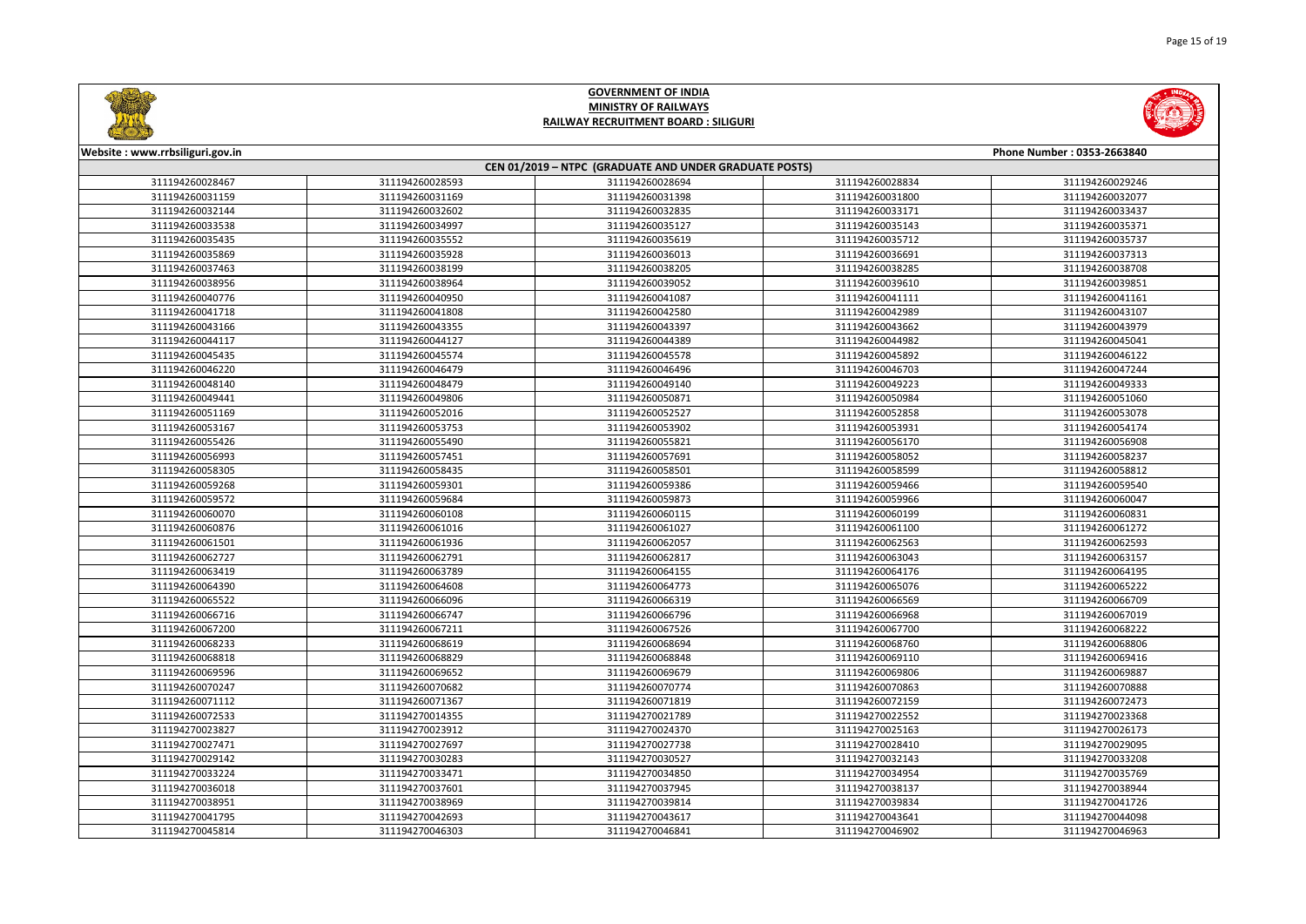| No |
|----|
|    |
|    |
|    |



| Website: www.rrbsiliguri.gov.in |                                                        |                 |                 | Phone Number: 0353-2663840 |  |  |
|---------------------------------|--------------------------------------------------------|-----------------|-----------------|----------------------------|--|--|
|                                 | CEN 01/2019 - NTPC (GRADUATE AND UNDER GRADUATE POSTS) |                 |                 |                            |  |  |
| 311194260028467                 | 311194260028593                                        | 311194260028694 | 311194260028834 | 311194260029246            |  |  |
| 311194260031159                 | 311194260031169                                        | 311194260031398 | 311194260031800 | 311194260032077            |  |  |
| 311194260032144                 | 311194260032602                                        | 311194260032835 | 311194260033171 | 311194260033437            |  |  |
| 311194260033538                 | 311194260034997                                        | 311194260035127 | 311194260035143 | 311194260035371            |  |  |
| 311194260035435                 | 311194260035552                                        | 311194260035619 | 311194260035712 | 311194260035737            |  |  |
| 311194260035869                 | 311194260035928                                        | 311194260036013 | 311194260036691 | 311194260037313            |  |  |
| 311194260037463                 | 311194260038199                                        | 311194260038205 | 311194260038285 | 311194260038708            |  |  |
| 311194260038956                 | 311194260038964                                        | 311194260039052 | 311194260039610 | 311194260039851            |  |  |
| 311194260040776                 | 311194260040950                                        | 311194260041087 | 311194260041111 | 311194260041161            |  |  |
| 311194260041718                 | 311194260041808                                        | 311194260042580 | 311194260042989 | 311194260043107            |  |  |
| 311194260043166                 | 311194260043355                                        | 311194260043397 | 311194260043662 | 311194260043979            |  |  |
| 311194260044117                 | 311194260044127                                        | 311194260044389 | 311194260044982 | 311194260045041            |  |  |
| 311194260045435                 | 311194260045574                                        | 311194260045578 | 311194260045892 | 311194260046122            |  |  |
| 311194260046220                 | 311194260046479                                        | 311194260046496 | 311194260046703 | 311194260047244            |  |  |
| 311194260048140                 | 311194260048479                                        | 311194260049140 | 311194260049223 | 311194260049333            |  |  |
| 311194260049441                 | 311194260049806                                        | 311194260050871 | 311194260050984 | 311194260051060            |  |  |
| 311194260051169                 | 311194260052016                                        | 311194260052527 | 311194260052858 | 311194260053078            |  |  |
| 311194260053167                 | 311194260053753                                        | 311194260053902 | 311194260053931 | 311194260054174            |  |  |
| 311194260055426                 | 311194260055490                                        | 311194260055821 | 311194260056170 | 311194260056908            |  |  |
| 311194260056993                 | 311194260057451                                        | 311194260057691 | 311194260058052 | 311194260058237            |  |  |
| 311194260058305                 | 311194260058435                                        | 311194260058501 | 311194260058599 | 311194260058812            |  |  |
| 311194260059268                 | 311194260059301                                        | 311194260059386 | 311194260059466 | 311194260059540            |  |  |
| 311194260059572                 | 311194260059684                                        | 311194260059873 | 311194260059966 | 311194260060047            |  |  |
| 311194260060070                 | 311194260060108                                        | 311194260060115 | 311194260060199 | 311194260060831            |  |  |
| 311194260060876                 | 311194260061016                                        | 311194260061027 | 311194260061100 | 311194260061272            |  |  |
| 311194260061501                 | 311194260061936                                        | 311194260062057 | 311194260062563 | 311194260062593            |  |  |
| 311194260062727                 | 311194260062791                                        | 311194260062817 | 311194260063043 | 311194260063157            |  |  |
| 311194260063419                 | 311194260063789                                        | 311194260064155 | 311194260064176 | 311194260064195            |  |  |
| 311194260064390                 | 311194260064608                                        | 311194260064773 | 311194260065076 | 311194260065222            |  |  |
| 311194260065522                 | 311194260066096                                        | 311194260066319 | 311194260066569 | 311194260066709            |  |  |
| 311194260066716                 | 311194260066747                                        | 311194260066796 | 311194260066968 | 311194260067019            |  |  |
| 311194260067200                 | 311194260067211                                        | 311194260067526 | 311194260067700 | 311194260068222            |  |  |
| 311194260068233                 | 311194260068619                                        | 311194260068694 | 311194260068760 | 311194260068806            |  |  |
| 311194260068818                 | 311194260068829                                        | 311194260068848 | 311194260069110 | 311194260069416            |  |  |
| 311194260069596                 | 311194260069652                                        | 311194260069679 | 311194260069806 | 311194260069887            |  |  |
| 311194260070247                 | 311194260070682                                        | 311194260070774 | 311194260070863 | 311194260070888            |  |  |
| 311194260071112                 | 311194260071367                                        | 311194260071819 | 311194260072159 | 311194260072473            |  |  |
| 311194260072533                 | 311194270014355                                        | 311194270021789 | 311194270022552 | 311194270023368            |  |  |
| 311194270023827                 | 311194270023912                                        | 311194270024370 | 311194270025163 | 311194270026173            |  |  |
| 311194270027471                 | 311194270027697                                        | 311194270027738 | 311194270028410 | 311194270029095            |  |  |
| 311194270029142                 | 311194270030283                                        | 311194270030527 | 311194270032143 | 311194270033208            |  |  |
| 311194270033224                 | 311194270033471                                        | 311194270034850 | 311194270034954 | 311194270035769            |  |  |
| 311194270036018                 | 311194270037601                                        | 311194270037945 | 311194270038137 | 311194270038944            |  |  |
| 311194270038951                 | 311194270038969                                        | 311194270039814 | 311194270039834 | 311194270041726            |  |  |
| 311194270041795                 | 311194270042693                                        | 311194270043617 | 311194270043641 | 311194270044098            |  |  |
| 311194270045814                 | 311194270046303                                        | 311194270046841 | 311194270046902 | 311194270046963            |  |  |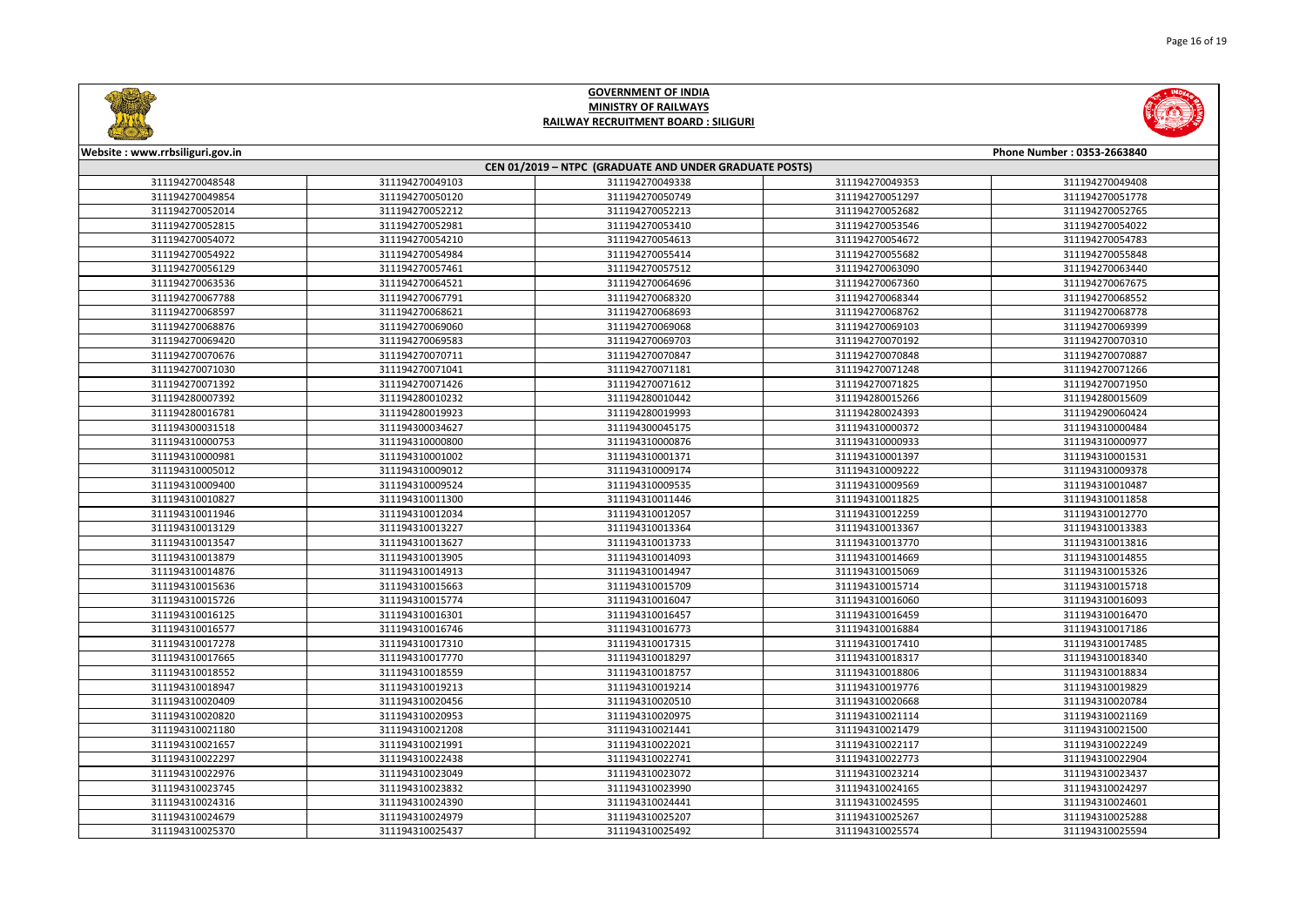



| Website: www.rrbsiliguri.gov.in |                 |                                                        |                 | Phone Number: 0353-2663840 |
|---------------------------------|-----------------|--------------------------------------------------------|-----------------|----------------------------|
|                                 |                 | CEN 01/2019 - NTPC (GRADUATE AND UNDER GRADUATE POSTS) |                 |                            |
| 311194270048548                 | 311194270049103 | 311194270049338                                        | 311194270049353 | 311194270049408            |
| 311194270049854                 | 311194270050120 | 311194270050749                                        | 311194270051297 | 311194270051778            |
| 311194270052014                 | 311194270052212 | 311194270052213                                        | 311194270052682 | 311194270052765            |
| 311194270052815                 | 311194270052981 | 311194270053410                                        | 311194270053546 | 311194270054022            |
| 311194270054072                 | 311194270054210 | 311194270054613                                        | 311194270054672 | 311194270054783            |
| 311194270054922                 | 311194270054984 | 311194270055414                                        | 311194270055682 | 311194270055848            |
| 311194270056129                 | 311194270057461 | 311194270057512                                        | 311194270063090 | 311194270063440            |
| 311194270063536                 | 311194270064521 | 311194270064696                                        | 311194270067360 | 311194270067675            |
| 311194270067788                 | 311194270067791 | 311194270068320                                        | 311194270068344 | 311194270068552            |
| 311194270068597                 | 311194270068621 | 311194270068693                                        | 311194270068762 | 311194270068778            |
| 311194270068876                 | 311194270069060 | 311194270069068                                        | 311194270069103 | 311194270069399            |
| 311194270069420                 | 311194270069583 | 311194270069703                                        | 311194270070192 | 311194270070310            |
| 311194270070676                 | 311194270070711 | 311194270070847                                        | 311194270070848 | 311194270070887            |
| 311194270071030                 | 311194270071041 | 311194270071181                                        | 311194270071248 | 311194270071266            |
| 311194270071392                 | 311194270071426 | 311194270071612                                        | 311194270071825 | 311194270071950            |
| 311194280007392                 | 311194280010232 | 311194280010442                                        | 311194280015266 | 311194280015609            |
| 311194280016781                 | 311194280019923 | 311194280019993                                        | 311194280024393 | 311194290060424            |
| 311194300031518                 | 311194300034627 | 311194300045175                                        | 311194310000372 | 311194310000484            |
| 311194310000753                 | 311194310000800 | 311194310000876                                        | 311194310000933 | 311194310000977            |
| 311194310000981                 | 311194310001002 | 311194310001371                                        | 311194310001397 | 311194310001531            |
| 311194310005012                 | 311194310009012 | 311194310009174                                        | 311194310009222 | 311194310009378            |
| 311194310009400                 | 311194310009524 | 311194310009535                                        | 311194310009569 | 311194310010487            |
| 311194310010827                 | 311194310011300 | 311194310011446                                        | 311194310011825 | 311194310011858            |
| 311194310011946                 | 311194310012034 | 311194310012057                                        | 311194310012259 | 311194310012770            |
| 311194310013129                 | 311194310013227 | 311194310013364                                        | 311194310013367 | 311194310013383            |
| 311194310013547                 | 311194310013627 | 311194310013733                                        | 311194310013770 | 311194310013816            |
| 311194310013879                 | 311194310013905 | 311194310014093                                        | 311194310014669 | 311194310014855            |
| 311194310014876                 | 311194310014913 | 311194310014947                                        | 311194310015069 | 311194310015326            |
| 311194310015636                 | 311194310015663 | 311194310015709                                        | 311194310015714 | 311194310015718            |
| 311194310015726                 | 311194310015774 | 311194310016047                                        | 311194310016060 | 311194310016093            |
| 311194310016125                 | 311194310016301 | 311194310016457                                        | 311194310016459 | 311194310016470            |
| 311194310016577                 | 311194310016746 | 311194310016773                                        | 311194310016884 | 311194310017186            |
| 311194310017278                 | 311194310017310 | 311194310017315                                        | 311194310017410 | 311194310017485            |
| 311194310017665                 | 311194310017770 | 311194310018297                                        | 311194310018317 | 311194310018340            |
| 311194310018552                 | 311194310018559 | 311194310018757                                        | 311194310018806 | 311194310018834            |
| 311194310018947                 | 311194310019213 | 311194310019214                                        | 311194310019776 | 311194310019829            |
| 311194310020409                 | 311194310020456 | 311194310020510                                        | 311194310020668 | 311194310020784            |
| 311194310020820                 | 311194310020953 | 311194310020975                                        | 311194310021114 | 311194310021169            |
| 311194310021180                 | 311194310021208 | 311194310021441                                        | 311194310021479 | 311194310021500            |
| 311194310021657                 | 311194310021991 | 311194310022021                                        | 311194310022117 | 311194310022249            |
| 311194310022297                 | 311194310022438 | 311194310022741                                        | 311194310022773 | 311194310022904            |
| 311194310022976                 | 311194310023049 | 311194310023072                                        | 311194310023214 | 311194310023437            |
| 311194310023745                 | 311194310023832 | 311194310023990                                        | 311194310024165 | 311194310024297            |
| 311194310024316                 | 311194310024390 | 311194310024441                                        | 311194310024595 | 311194310024601            |
| 311194310024679                 | 311194310024979 | 311194310025207                                        | 311194310025267 | 311194310025288            |
| 311194310025370                 | 311194310025437 | 311194310025492                                        | 311194310025574 | 311194310025594            |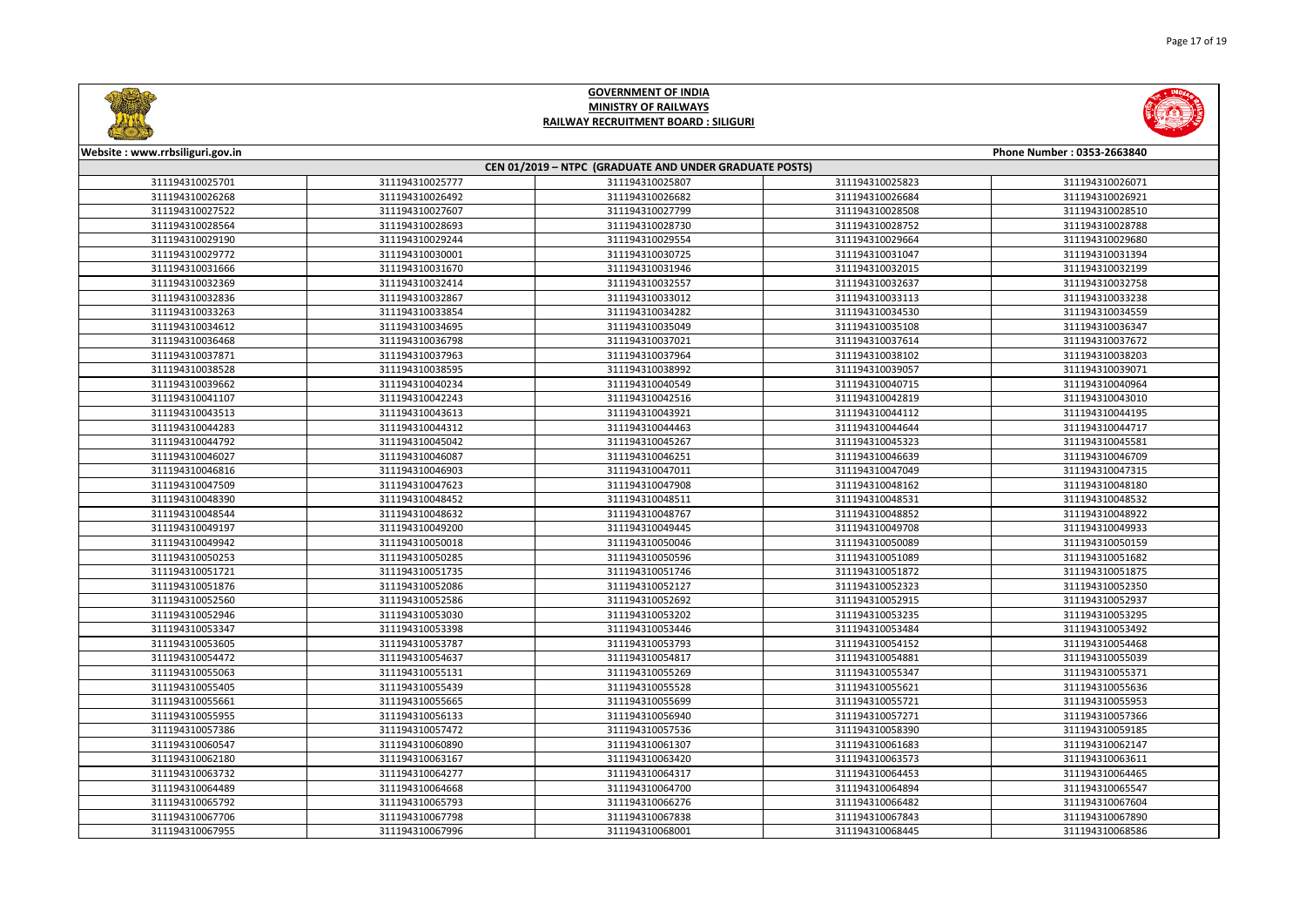



|                 | Website: www.rrbsiliguri.gov.in<br>Phone Number: 0353-2663840<br>CEN 01/2019 - NTPC (GRADUATE AND UNDER GRADUATE POSTS) |                 |                 |                 |  |  |
|-----------------|-------------------------------------------------------------------------------------------------------------------------|-----------------|-----------------|-----------------|--|--|
|                 |                                                                                                                         |                 |                 |                 |  |  |
| 311194310025701 | 311194310025777                                                                                                         | 311194310025807 | 311194310025823 | 311194310026071 |  |  |
| 311194310026268 | 311194310026492                                                                                                         | 311194310026682 | 311194310026684 | 311194310026921 |  |  |
| 311194310027522 | 311194310027607                                                                                                         | 311194310027799 | 311194310028508 | 311194310028510 |  |  |
| 311194310028564 | 311194310028693                                                                                                         | 311194310028730 | 311194310028752 | 311194310028788 |  |  |
| 311194310029190 | 311194310029244                                                                                                         | 311194310029554 | 311194310029664 | 311194310029680 |  |  |
| 311194310029772 | 311194310030001                                                                                                         | 311194310030725 | 311194310031047 | 311194310031394 |  |  |
| 311194310031666 | 311194310031670                                                                                                         | 311194310031946 | 311194310032015 | 311194310032199 |  |  |
| 311194310032369 | 311194310032414                                                                                                         | 311194310032557 | 311194310032637 | 311194310032758 |  |  |
| 311194310032836 | 311194310032867                                                                                                         | 311194310033012 | 311194310033113 | 311194310033238 |  |  |
| 311194310033263 | 311194310033854                                                                                                         | 311194310034282 | 311194310034530 | 311194310034559 |  |  |
| 311194310034612 | 311194310034695                                                                                                         | 311194310035049 | 311194310035108 | 311194310036347 |  |  |
| 311194310036468 | 311194310036798                                                                                                         | 311194310037021 | 311194310037614 | 311194310037672 |  |  |
| 311194310037871 | 311194310037963                                                                                                         | 311194310037964 | 311194310038102 | 311194310038203 |  |  |
| 311194310038528 | 311194310038595                                                                                                         | 311194310038992 | 311194310039057 | 311194310039071 |  |  |
| 311194310039662 | 311194310040234                                                                                                         | 311194310040549 | 311194310040715 | 311194310040964 |  |  |
| 311194310041107 | 311194310042243                                                                                                         | 311194310042516 | 311194310042819 | 311194310043010 |  |  |
| 311194310043513 | 311194310043613                                                                                                         | 311194310043921 | 311194310044112 | 311194310044195 |  |  |
| 311194310044283 | 311194310044312                                                                                                         | 311194310044463 | 311194310044644 | 311194310044717 |  |  |
| 311194310044792 | 311194310045042                                                                                                         | 311194310045267 | 311194310045323 | 311194310045581 |  |  |
| 311194310046027 | 311194310046087                                                                                                         | 311194310046251 | 311194310046639 | 311194310046709 |  |  |
| 311194310046816 | 311194310046903                                                                                                         | 311194310047011 | 311194310047049 | 311194310047315 |  |  |
| 311194310047509 | 311194310047623                                                                                                         | 311194310047908 | 311194310048162 | 311194310048180 |  |  |
| 311194310048390 | 311194310048452                                                                                                         | 311194310048511 | 311194310048531 | 311194310048532 |  |  |
| 311194310048544 | 311194310048632                                                                                                         | 311194310048767 | 311194310048852 | 311194310048922 |  |  |
| 311194310049197 | 311194310049200                                                                                                         | 311194310049445 | 311194310049708 | 311194310049933 |  |  |
| 311194310049942 | 311194310050018                                                                                                         | 311194310050046 | 311194310050089 | 311194310050159 |  |  |
| 311194310050253 | 311194310050285                                                                                                         | 311194310050596 | 311194310051089 | 311194310051682 |  |  |
| 311194310051721 | 311194310051735                                                                                                         | 311194310051746 | 311194310051872 | 311194310051875 |  |  |
| 311194310051876 | 311194310052086                                                                                                         | 311194310052127 | 311194310052323 | 311194310052350 |  |  |
| 311194310052560 | 311194310052586                                                                                                         | 311194310052692 | 311194310052915 | 311194310052937 |  |  |
| 311194310052946 | 311194310053030                                                                                                         | 311194310053202 | 311194310053235 | 311194310053295 |  |  |
| 311194310053347 | 311194310053398                                                                                                         | 311194310053446 | 311194310053484 | 311194310053492 |  |  |
| 311194310053605 | 311194310053787                                                                                                         | 311194310053793 | 311194310054152 | 311194310054468 |  |  |
| 311194310054472 | 311194310054637                                                                                                         | 311194310054817 | 311194310054881 | 311194310055039 |  |  |
| 311194310055063 | 311194310055131                                                                                                         | 311194310055269 | 311194310055347 | 311194310055371 |  |  |
| 311194310055405 | 311194310055439                                                                                                         | 311194310055528 | 311194310055621 | 311194310055636 |  |  |
| 311194310055661 | 311194310055665                                                                                                         | 311194310055699 | 311194310055721 | 311194310055953 |  |  |
| 311194310055955 | 311194310056133                                                                                                         | 311194310056940 | 311194310057271 | 311194310057366 |  |  |
| 311194310057386 | 311194310057472                                                                                                         | 311194310057536 | 311194310058390 | 311194310059185 |  |  |
| 311194310060547 | 311194310060890                                                                                                         | 311194310061307 | 311194310061683 | 311194310062147 |  |  |
| 311194310062180 | 311194310063167                                                                                                         | 311194310063420 | 311194310063573 | 311194310063611 |  |  |
| 311194310063732 | 311194310064277                                                                                                         | 311194310064317 | 311194310064453 | 311194310064465 |  |  |
| 311194310064489 | 311194310064668                                                                                                         | 311194310064700 | 311194310064894 | 311194310065547 |  |  |
| 311194310065792 | 311194310065793                                                                                                         | 311194310066276 | 311194310066482 | 311194310067604 |  |  |
| 311194310067706 | 311194310067798                                                                                                         | 311194310067838 | 311194310067843 | 311194310067890 |  |  |
| 311194310067955 | 311194310067996                                                                                                         | 311194310068001 | 311194310068445 | 311194310068586 |  |  |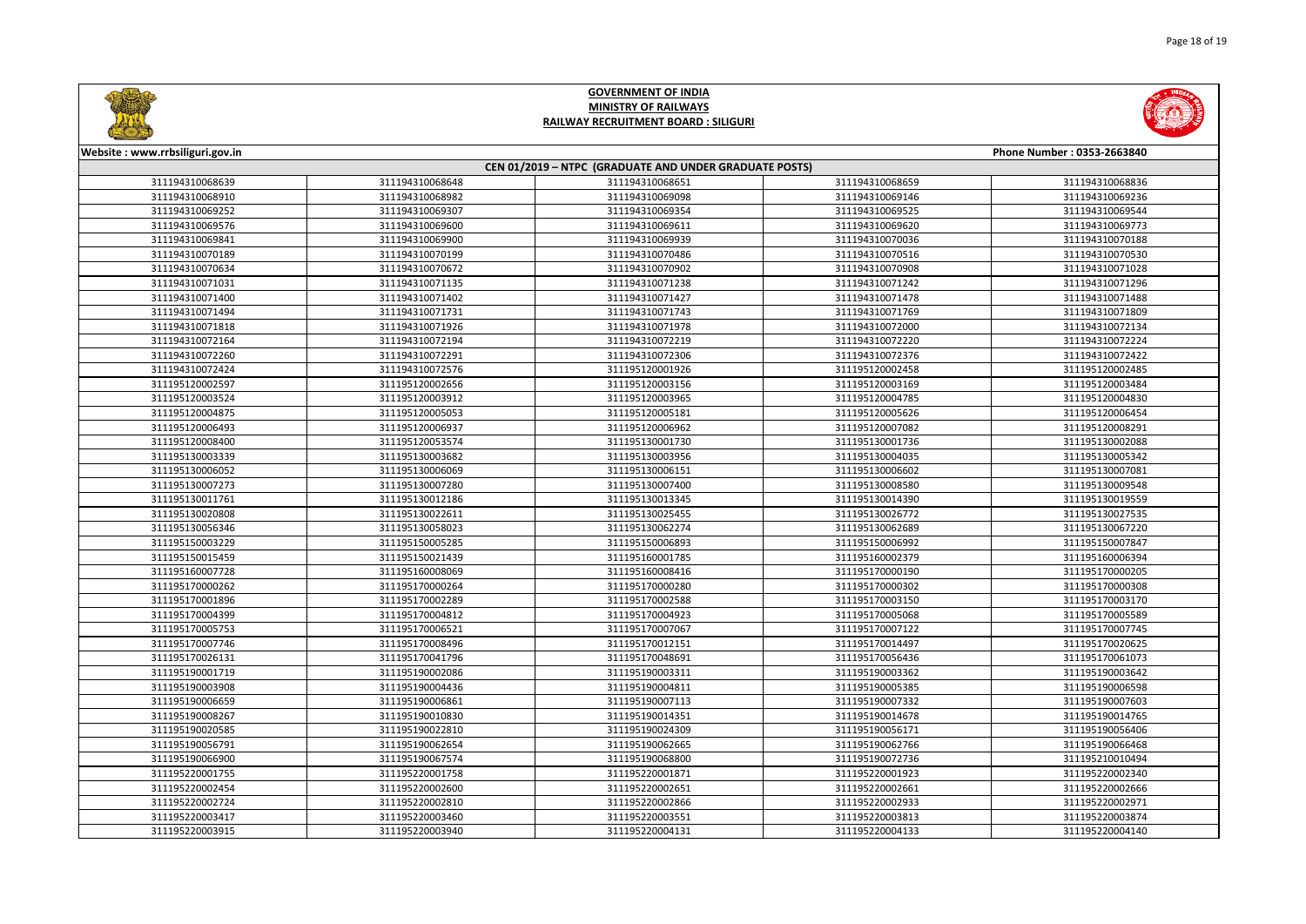



| Website: www.rrbsiliguri.gov.in | Phone Number: 0353-2663840                             |                 |                 |                 |  |
|---------------------------------|--------------------------------------------------------|-----------------|-----------------|-----------------|--|
|                                 | CEN 01/2019 - NTPC (GRADUATE AND UNDER GRADUATE POSTS) |                 |                 |                 |  |
| 311194310068639                 | 311194310068648                                        | 311194310068651 | 311194310068659 | 311194310068836 |  |
| 311194310068910                 | 311194310068982                                        | 311194310069098 | 311194310069146 | 311194310069236 |  |
| 311194310069252                 | 311194310069307                                        | 311194310069354 | 311194310069525 | 311194310069544 |  |
| 311194310069576                 | 311194310069600                                        | 311194310069611 | 311194310069620 | 311194310069773 |  |
| 311194310069841                 | 311194310069900                                        | 311194310069939 | 311194310070036 | 311194310070188 |  |
| 311194310070189                 | 311194310070199                                        | 311194310070486 | 311194310070516 | 311194310070530 |  |
| 311194310070634                 | 311194310070672                                        | 311194310070902 | 311194310070908 | 311194310071028 |  |
| 311194310071031                 | 311194310071135                                        | 311194310071238 | 311194310071242 | 311194310071296 |  |
| 311194310071400                 | 311194310071402                                        | 311194310071427 | 311194310071478 | 311194310071488 |  |
| 311194310071494                 | 311194310071731                                        | 311194310071743 | 311194310071769 | 311194310071809 |  |
| 311194310071818                 | 311194310071926                                        | 311194310071978 | 311194310072000 | 311194310072134 |  |
| 311194310072164                 | 311194310072194                                        | 311194310072219 | 311194310072220 | 311194310072224 |  |
| 311194310072260                 | 311194310072291                                        | 311194310072306 | 311194310072376 | 311194310072422 |  |
| 311194310072424                 | 311194310072576                                        | 311195120001926 | 311195120002458 | 311195120002485 |  |
| 311195120002597                 | 311195120002656                                        | 311195120003156 | 311195120003169 | 311195120003484 |  |
| 311195120003524                 | 311195120003912                                        | 311195120003965 | 311195120004785 | 311195120004830 |  |
| 311195120004875                 | 311195120005053                                        | 311195120005181 | 311195120005626 | 311195120006454 |  |
| 311195120006493                 | 311195120006937                                        | 311195120006962 | 311195120007082 | 311195120008291 |  |
| 311195120008400                 | 311195120053574                                        | 311195130001730 | 311195130001736 | 311195130002088 |  |
| 311195130003339                 | 311195130003682                                        | 311195130003956 | 311195130004035 | 311195130005342 |  |
| 311195130006052                 | 311195130006069                                        | 311195130006151 | 311195130006602 | 311195130007081 |  |
| 311195130007273                 | 311195130007280                                        | 311195130007400 | 311195130008580 | 311195130009548 |  |
| 311195130011761                 | 311195130012186                                        | 311195130013345 | 311195130014390 | 311195130019559 |  |
| 311195130020808                 | 311195130022611                                        | 311195130025455 | 311195130026772 | 311195130027535 |  |
| 311195130056346                 | 311195130058023                                        | 311195130062274 | 311195130062689 | 311195130067220 |  |
| 311195150003229                 | 311195150005285                                        | 311195150006893 | 311195150006992 | 311195150007847 |  |
| 311195150015459                 | 311195150021439                                        | 311195160001785 | 311195160002379 | 311195160006394 |  |
| 311195160007728                 | 311195160008069                                        | 311195160008416 | 311195170000190 | 311195170000205 |  |
| 311195170000262                 | 311195170000264                                        | 311195170000280 | 311195170000302 | 311195170000308 |  |
| 311195170001896                 | 311195170002289                                        | 311195170002588 | 311195170003150 | 311195170003170 |  |
| 311195170004399                 | 311195170004812                                        | 311195170004923 | 311195170005068 | 311195170005589 |  |
| 311195170005753                 | 311195170006521                                        | 311195170007067 | 311195170007122 | 311195170007745 |  |
| 311195170007746                 | 311195170008496                                        | 311195170012151 | 311195170014497 | 311195170020625 |  |
| 311195170026131                 | 311195170041796                                        | 311195170048691 | 311195170056436 | 311195170061073 |  |
| 311195190001719                 | 311195190002086                                        | 311195190003311 | 311195190003362 | 311195190003642 |  |
| 311195190003908                 | 311195190004436                                        | 311195190004811 | 311195190005385 | 311195190006598 |  |
| 311195190006659                 | 311195190006861                                        | 311195190007113 | 311195190007332 | 311195190007603 |  |
| 311195190008267                 | 311195190010830                                        | 311195190014351 | 311195190014678 | 311195190014765 |  |
| 311195190020585                 | 311195190022810                                        | 311195190024309 | 311195190056171 | 311195190056406 |  |
| 311195190056791                 | 311195190062654                                        | 311195190062665 | 311195190062766 | 311195190066468 |  |
| 311195190066900                 | 311195190067574                                        | 311195190068800 | 311195190072736 | 311195210010494 |  |
| 311195220001755                 | 311195220001758                                        | 311195220001871 | 311195220001923 | 311195220002340 |  |
| 311195220002454                 | 311195220002600                                        | 311195220002651 | 311195220002661 | 311195220002666 |  |
| 311195220002724                 | 311195220002810                                        | 311195220002866 | 311195220002933 | 311195220002971 |  |
| 311195220003417                 | 311195220003460                                        | 311195220003551 | 311195220003813 | 311195220003874 |  |
| 311195220003915                 | 311195220003940                                        | 311195220004131 | 311195220004133 | 311195220004140 |  |